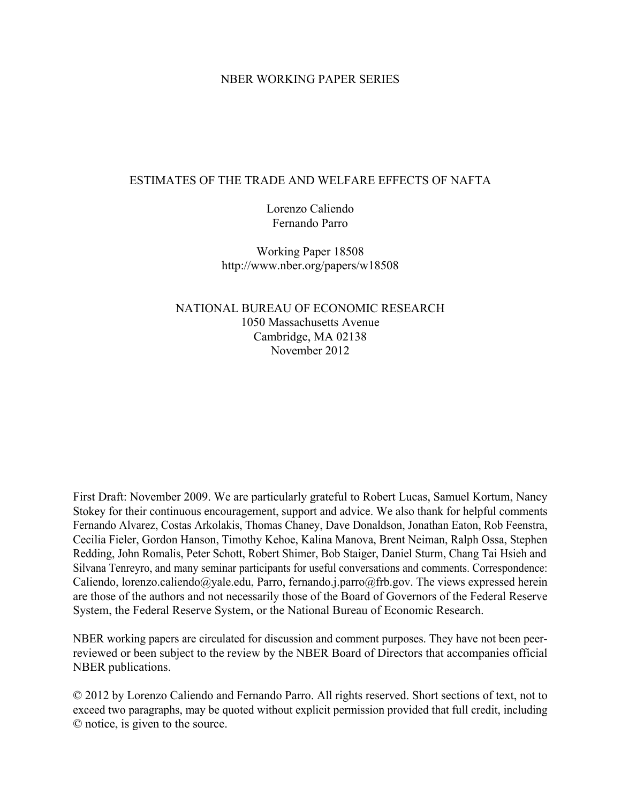# NBER WORKING PAPER SERIES

# ESTIMATES OF THE TRADE AND WELFARE EFFECTS OF NAFTA

Lorenzo Caliendo Fernando Parro

Working Paper 18508 http://www.nber.org/papers/w18508

NATIONAL BUREAU OF ECONOMIC RESEARCH 1050 Massachusetts Avenue Cambridge, MA 02138 November 2012

First Draft: November 2009. We are particularly grateful to Robert Lucas, Samuel Kortum, Nancy Stokey for their continuous encouragement, support and advice. We also thank for helpful comments Fernando Alvarez, Costas Arkolakis, Thomas Chaney, Dave Donaldson, Jonathan Eaton, Rob Feenstra, Cecilia Fieler, Gordon Hanson, Timothy Kehoe, Kalina Manova, Brent Neiman, Ralph Ossa, Stephen Redding, John Romalis, Peter Schott, Robert Shimer, Bob Staiger, Daniel Sturm, Chang Tai Hsieh and Silvana Tenreyro, and many seminar participants for useful conversations and comments. Correspondence: Caliendo, lorenzo.caliendo@yale.edu, Parro, fernando.j.parro@frb.gov. The views expressed herein are those of the authors and not necessarily those of the Board of Governors of the Federal Reserve System, the Federal Reserve System, or the National Bureau of Economic Research.

NBER working papers are circulated for discussion and comment purposes. They have not been peerreviewed or been subject to the review by the NBER Board of Directors that accompanies official NBER publications.

© 2012 by Lorenzo Caliendo and Fernando Parro. All rights reserved. Short sections of text, not to exceed two paragraphs, may be quoted without explicit permission provided that full credit, including © notice, is given to the source.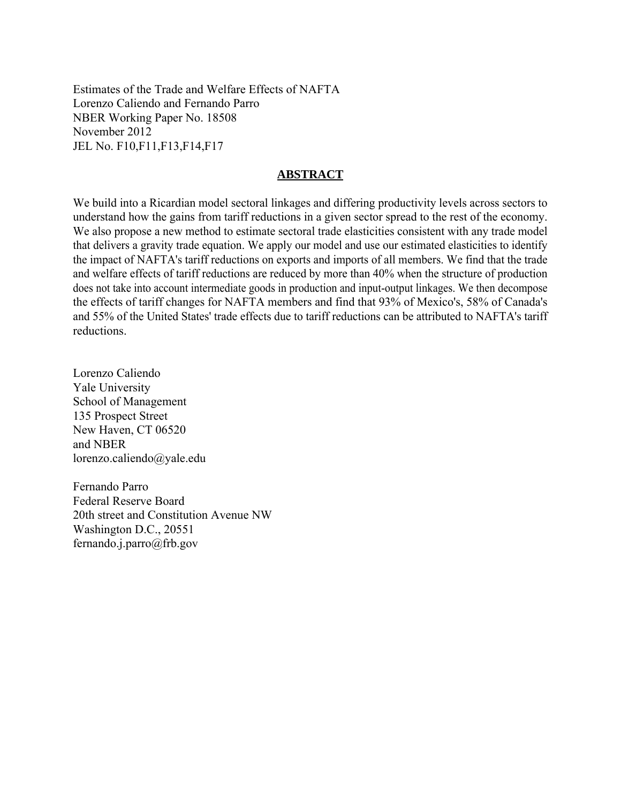Estimates of the Trade and Welfare Effects of NAFTA Lorenzo Caliendo and Fernando Parro NBER Working Paper No. 18508 November 2012 JEL No. F10,F11,F13,F14,F17

# **ABSTRACT**

We build into a Ricardian model sectoral linkages and differing productivity levels across sectors to understand how the gains from tariff reductions in a given sector spread to the rest of the economy. We also propose a new method to estimate sectoral trade elasticities consistent with any trade model that delivers a gravity trade equation. We apply our model and use our estimated elasticities to identify the impact of NAFTA's tariff reductions on exports and imports of all members. We find that the trade and welfare effects of tariff reductions are reduced by more than 40% when the structure of production does not take into account intermediate goods in production and input-output linkages. We then decompose the effects of tariff changes for NAFTA members and find that 93% of Mexico's, 58% of Canada's and 55% of the United States' trade effects due to tariff reductions can be attributed to NAFTA's tariff reductions.

Lorenzo Caliendo Yale University School of Management 135 Prospect Street New Haven, CT 06520 and NBER lorenzo.caliendo@yale.edu

Fernando Parro Federal Reserve Board 20th street and Constitution Avenue NW Washington D.C., 20551 fernando.j.parro@frb.gov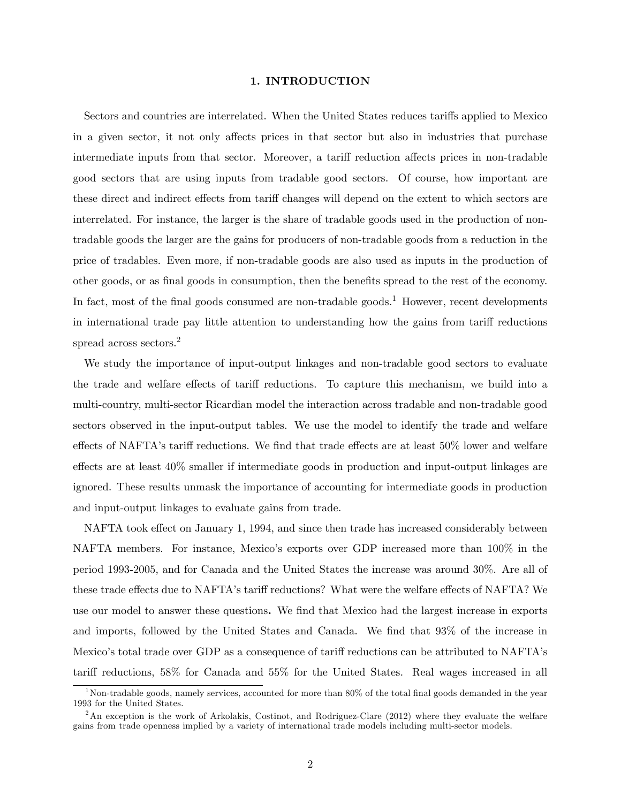#### 1. INTRODUCTION

Sectors and countries are interrelated. When the United States reduces tariffs applied to Mexico in a given sector, it not only affects prices in that sector but also in industries that purchase intermediate inputs from that sector. Moreover, a tariff reduction affects prices in non-tradable good sectors that are using inputs from tradable good sectors. Of course, how important are these direct and indirect effects from tariff changes will depend on the extent to which sectors are interrelated. For instance, the larger is the share of tradable goods used in the production of nontradable goods the larger are the gains for producers of non-tradable goods from a reduction in the price of tradables. Even more, if non-tradable goods are also used as inputs in the production of other goods, or as final goods in consumption, then the benefits spread to the rest of the economy. In fact, most of the final goods consumed are non-tradable goods.<sup>1</sup> However, recent developments in international trade pay little attention to understanding how the gains from tariff reductions spread across sectors.<sup>2</sup>

We study the importance of input-output linkages and non-tradable good sectors to evaluate the trade and welfare effects of tariff reductions. To capture this mechanism, we build into a multi-country, multi-sector Ricardian model the interaction across tradable and non-tradable good sectors observed in the input-output tables. We use the model to identify the trade and welfare effects of NAFTA's tariff reductions. We find that trade effects are at least  $50\%$  lower and welfare effects are at least  $40\%$  smaller if intermediate goods in production and input-output linkages are ignored. These results unmask the importance of accounting for intermediate goods in production and input-output linkages to evaluate gains from trade.

NAFTA took effect on January 1, 1994, and since then trade has increased considerably between NAFTA members. For instance, Mexico's exports over GDP increased more than 100% in the period 1993-2005, and for Canada and the United States the increase was around 30%. Are all of these trade effects due to NAFTA's tariff reductions? What were the welfare effects of NAFTA? We use our model to answer these questions. We find that Mexico had the largest increase in exports and imports, followed by the United States and Canada. We find that 93% of the increase in Mexico's total trade over GDP as a consequence of tariff reductions can be attributed to NAFTA's tariff reductions, 58% for Canada and 55% for the United States. Real wages increased in all

<sup>&</sup>lt;sup>1</sup>Non-tradable goods, namely services, accounted for more than  $80\%$  of the total final goods demanded in the year 1993 for the United States.

<sup>&</sup>lt;sup>2</sup>An exception is the work of Arkolakis, Costinot, and Rodriguez-Clare (2012) where they evaluate the welfare gains from trade openness implied by a variety of international trade models including multi-sector models.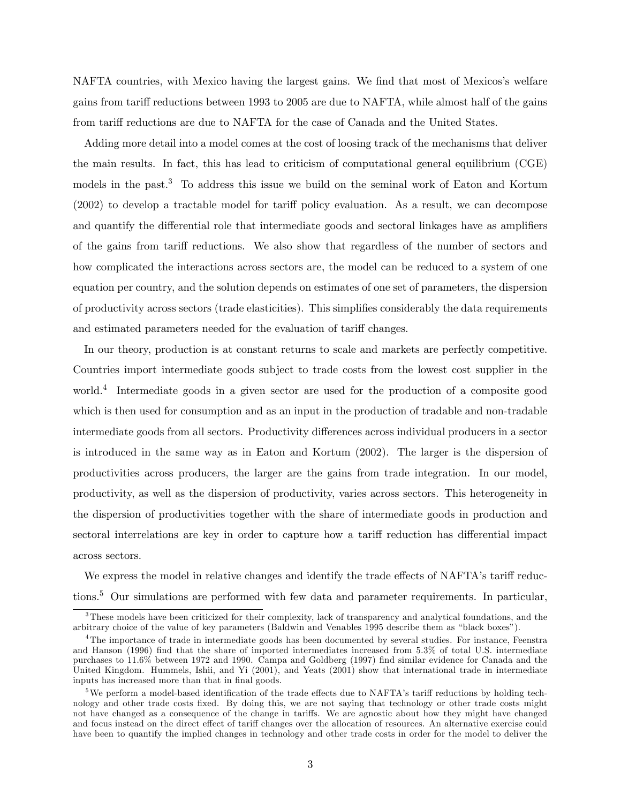NAFTA countries, with Mexico having the largest gains. We find that most of Mexicos's welfare gains from tariff reductions between 1993 to 2005 are due to NAFTA, while almost half of the gains from tariff reductions are due to NAFTA for the case of Canada and the United States.

Adding more detail into a model comes at the cost of loosing track of the mechanisms that deliver the main results. In fact, this has lead to criticism of computational general equilibrium (CGE) models in the past.<sup>3</sup> To address this issue we build on the seminal work of Eaton and Kortum  $(2002)$  to develop a tractable model for tariff policy evaluation. As a result, we can decompose and quantify the differential role that intermediate goods and sectoral linkages have as amplifiers of the gains from tariff reductions. We also show that regardless of the number of sectors and how complicated the interactions across sectors are, the model can be reduced to a system of one equation per country, and the solution depends on estimates of one set of parameters, the dispersion of productivity across sectors (trade elasticities). This simplifies considerably the data requirements and estimated parameters needed for the evaluation of tariff changes.

In our theory, production is at constant returns to scale and markets are perfectly competitive. Countries import intermediate goods subject to trade costs from the lowest cost supplier in the world.<sup>4</sup> Intermediate goods in a given sector are used for the production of a composite good which is then used for consumption and as an input in the production of tradable and non-tradable intermediate goods from all sectors. Productivity differences across individual producers in a sector is introduced in the same way as in Eaton and Kortum (2002). The larger is the dispersion of productivities across producers, the larger are the gains from trade integration. In our model, productivity, as well as the dispersion of productivity, varies across sectors. This heterogeneity in the dispersion of productivities together with the share of intermediate goods in production and sectoral interrelations are key in order to capture how a tariff reduction has differential impact across sectors.

We express the model in relative changes and identify the trade effects of NAFTA's tariff reductions.<sup>5</sup> Our simulations are performed with few data and parameter requirements. In particular,

 $3$ These models have been criticized for their complexity, lack of transparency and analytical foundations, and the arbitrary choice of the value of key parameters (Baldwin and Venables 1995 describe them as "black boxes").

<sup>4</sup>The importance of trade in intermediate goods has been documented by several studies. For instance, Feenstra and Hanson (1996) Önd that the share of imported intermediates increased from 5.3% of total U.S. intermediate purchases to 11.6% between 1972 and 1990. Campa and Goldberg (1997) Önd similar evidence for Canada and the United Kingdom. Hummels, Ishii, and Yi (2001), and Yeats (2001) show that international trade in intermediate inputs has increased more than that in final goods.

 $5$ We perform a model-based identification of the trade effects due to NAFTA's tariff reductions by holding technology and other trade costs Öxed. By doing this, we are not saying that technology or other trade costs might not have changed as a consequence of the change in tariffs. We are agnostic about how they might have changed and focus instead on the direct effect of tariff changes over the allocation of resources. An alternative exercise could have been to quantify the implied changes in technology and other trade costs in order for the model to deliver the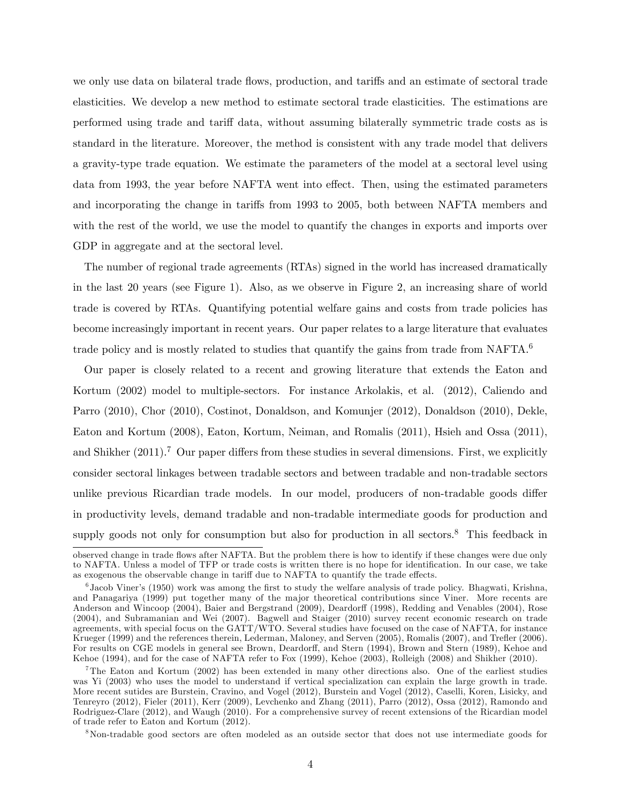we only use data on bilateral trade flows, production, and tariffs and an estimate of sectoral trade elasticities. We develop a new method to estimate sectoral trade elasticities. The estimations are performed using trade and tariff data, without assuming bilaterally symmetric trade costs as is standard in the literature. Moreover, the method is consistent with any trade model that delivers a gravity-type trade equation. We estimate the parameters of the model at a sectoral level using data from 1993, the year before NAFTA went into effect. Then, using the estimated parameters and incorporating the change in tariffs from 1993 to 2005, both between NAFTA members and with the rest of the world, we use the model to quantify the changes in exports and imports over GDP in aggregate and at the sectoral level.

The number of regional trade agreements (RTAs) signed in the world has increased dramatically in the last 20 years (see Figure 1). Also, as we observe in Figure 2, an increasing share of world trade is covered by RTAs. Quantifying potential welfare gains and costs from trade policies has become increasingly important in recent years. Our paper relates to a large literature that evaluates trade policy and is mostly related to studies that quantify the gains from trade from NAFTA.<sup>6</sup>

Our paper is closely related to a recent and growing literature that extends the Eaton and Kortum (2002) model to multiple-sectors. For instance Arkolakis, et al. (2012), Caliendo and Parro (2010), Chor (2010), Costinot, Donaldson, and Komunjer (2012), Donaldson (2010), Dekle, Eaton and Kortum (2008), Eaton, Kortum, Neiman, and Romalis (2011), Hsieh and Ossa (2011), and Shikher  $(2011).7$  Our paper differs from these studies in several dimensions. First, we explicitly consider sectoral linkages between tradable sectors and between tradable and non-tradable sectors unlike previous Ricardian trade models. In our model, producers of non-tradable goods differ in productivity levels, demand tradable and non-tradable intermediate goods for production and supply goods not only for consumption but also for production in all sectors.<sup>8</sup> This feedback in

<sup>8</sup>Non-tradable good sectors are often modeled as an outside sector that does not use intermediate goods for

observed change in trade áows after NAFTA. But the problem there is how to identify if these changes were due only to NAFTA. Unless a model of TFP or trade costs is written there is no hope for identification. In our case, we take as exogenous the observable change in tariff due to NAFTA to quantify the trade effects.

<sup>&</sup>lt;sup>6</sup> Jacob Viner's (1950) work was among the first to study the welfare analysis of trade policy. Bhagwati, Krishna, and Panagariya (1999) put together many of the major theoretical contributions since Viner. More recents are Anderson and Wincoop (2004), Baier and Bergstrand (2009), Deardorff (1998), Redding and Venables (2004), Rose (2004), and Subramanian and Wei (2007). Bagwell and Staiger (2010) survey recent economic research on trade agreements, with special focus on the GATT/WTO. Several studies have focused on the case of NAFTA, for instance Krueger (1999) and the references therein, Lederman, Maloney, and Serven (2005), Romalis (2007), and Trefler (2006). For results on CGE models in general see Brown, Deardorff, and Stern (1994), Brown and Stern (1989), Kehoe and Kehoe (1994), and for the case of NAFTA refer to Fox (1999), Kehoe (2003), Rolleigh (2008) and Shikher (2010).

<sup>7</sup>The Eaton and Kortum (2002) has been extended in many other directions also. One of the earliest studies was Yi (2003) who uses the model to understand if vertical specialization can explain the large growth in trade. More recent sutides are Burstein, Cravino, and Vogel (2012), Burstein and Vogel (2012), Caselli, Koren, Lisicky, and Tenreyro (2012), Fieler (2011), Kerr (2009), Levchenko and Zhang (2011), Parro (2012), Ossa (2012), Ramondo and Rodriguez-Clare (2012), and Waugh (2010). For a comprehensive survey of recent extensions of the Ricardian model of trade refer to Eaton and Kortum (2012).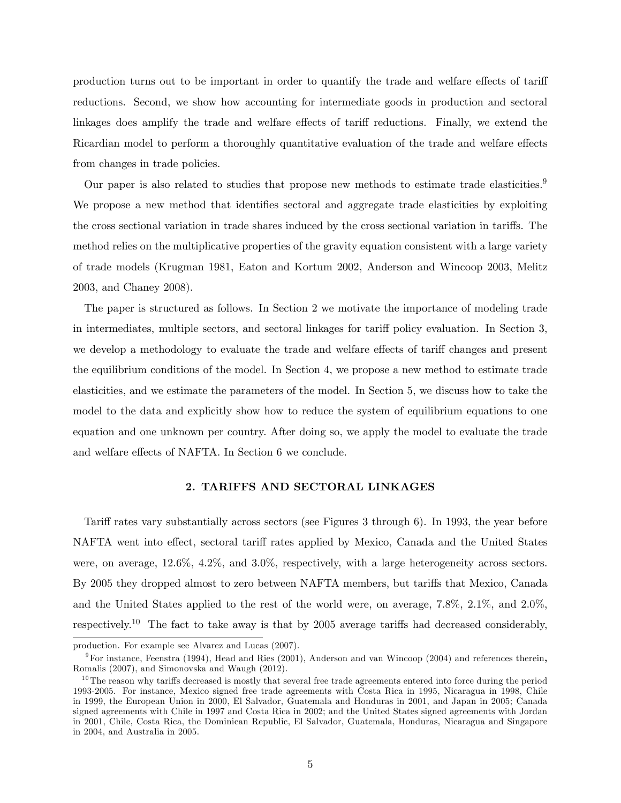production turns out to be important in order to quantify the trade and welfare effects of tariff reductions. Second, we show how accounting for intermediate goods in production and sectoral linkages does amplify the trade and welfare effects of tariff reductions. Finally, we extend the Ricardian model to perform a thoroughly quantitative evaluation of the trade and welfare effects from changes in trade policies.

Our paper is also related to studies that propose new methods to estimate trade elasticities.<sup>9</sup> We propose a new method that identifies sectoral and aggregate trade elasticities by exploiting the cross sectional variation in trade shares induced by the cross sectional variation in tariffs. The method relies on the multiplicative properties of the gravity equation consistent with a large variety of trade models (Krugman 1981, Eaton and Kortum 2002, Anderson and Wincoop 2003, Melitz 2003, and Chaney 2008).

The paper is structured as follows. In Section 2 we motivate the importance of modeling trade in intermediates, multiple sectors, and sectoral linkages for tariff policy evaluation. In Section 3, we develop a methodology to evaluate the trade and welfare effects of tariff changes and present the equilibrium conditions of the model. In Section 4, we propose a new method to estimate trade elasticities, and we estimate the parameters of the model. In Section 5, we discuss how to take the model to the data and explicitly show how to reduce the system of equilibrium equations to one equation and one unknown per country. After doing so, we apply the model to evaluate the trade and welfare effects of NAFTA. In Section 6 we conclude.

### 2. TARIFFS AND SECTORAL LINKAGES

Tariff rates vary substantially across sectors (see Figures 3 through 6). In 1993, the year before NAFTA went into effect, sectoral tariff rates applied by Mexico, Canada and the United States were, on average, 12.6%, 4.2%, and 3.0%, respectively, with a large heterogeneity across sectors. By 2005 they dropped almost to zero between NAFTA members, but tariffs that Mexico, Canada and the United States applied to the rest of the world were, on average, 7.8%, 2.1%, and 2.0%, respectively.<sup>10</sup> The fact to take away is that by 2005 average tariffs had decreased considerably,

production. For example see Alvarez and Lucas (2007).

 $^{9}$ For instance, Feenstra (1994), Head and Ries (2001), Anderson and van Wincoop (2004) and references therein, Romalis (2007), and Simonovska and Waugh (2012).

 $10$ The reason why tariffs decreased is mostly that several free trade agreements entered into force during the period 1993-2005. For instance, Mexico signed free trade agreements with Costa Rica in 1995, Nicaragua in 1998, Chile in 1999, the European Union in 2000, El Salvador, Guatemala and Honduras in 2001, and Japan in 2005; Canada signed agreements with Chile in 1997 and Costa Rica in 2002; and the United States signed agreements with Jordan in 2001, Chile, Costa Rica, the Dominican Republic, El Salvador, Guatemala, Honduras, Nicaragua and Singapore in 2004, and Australia in 2005.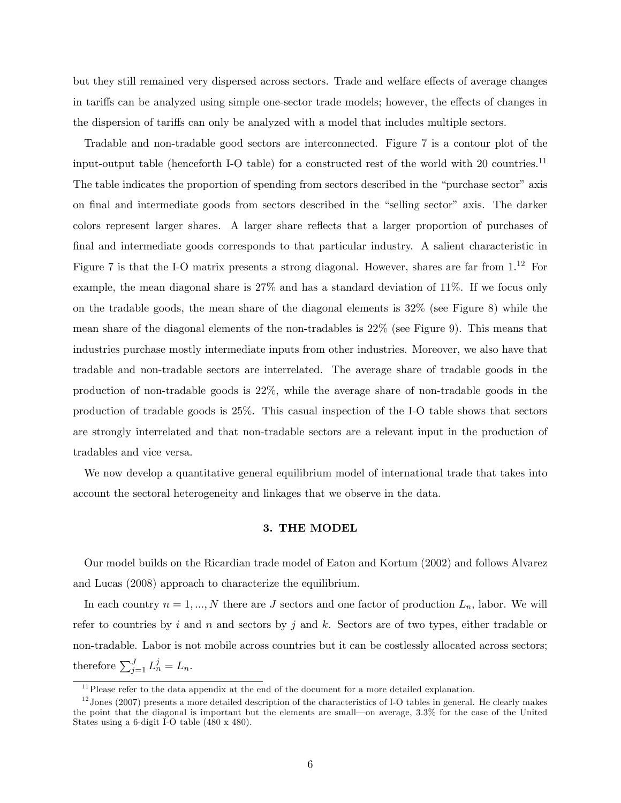but they still remained very dispersed across sectors. Trade and welfare effects of average changes in tariffs can be analyzed using simple one-sector trade models; however, the effects of changes in the dispersion of tariffs can only be analyzed with a model that includes multiple sectors.

Tradable and non-tradable good sectors are interconnected. Figure 7 is a contour plot of the input-output table (henceforth I-O table) for a constructed rest of the world with 20 countries.<sup>11</sup> The table indicates the proportion of spending from sectors described in the "purchase sector" axis on final and intermediate goods from sectors described in the "selling sector" axis. The darker colors represent larger shares. A larger share reflects that a larger proportion of purchases of final and intermediate goods corresponds to that particular industry. A salient characteristic in Figure 7 is that the I-O matrix presents a strong diagonal. However, shares are far from 1.<sup>12</sup> For example, the mean diagonal share is 27% and has a standard deviation of 11%. If we focus only on the tradable goods, the mean share of the diagonal elements is 32% (see Figure 8) while the mean share of the diagonal elements of the non-tradables is 22% (see Figure 9). This means that industries purchase mostly intermediate inputs from other industries. Moreover, we also have that tradable and non-tradable sectors are interrelated. The average share of tradable goods in the production of non-tradable goods is 22%, while the average share of non-tradable goods in the production of tradable goods is 25%. This casual inspection of the I-O table shows that sectors are strongly interrelated and that non-tradable sectors are a relevant input in the production of tradables and vice versa.

We now develop a quantitative general equilibrium model of international trade that takes into account the sectoral heterogeneity and linkages that we observe in the data.

#### 3. THE MODEL

Our model builds on the Ricardian trade model of Eaton and Kortum (2002) and follows Alvarez and Lucas (2008) approach to characterize the equilibrium.

In each country  $n = 1, ..., N$  there are J sectors and one factor of production  $L_n$ , labor. We will refer to countries by i and n and sectors by j and k. Sectors are of two types, either tradable or non-tradable. Labor is not mobile across countries but it can be costlessly allocated across sectors; therefore  $\sum_{j=1}^{J} L_n^j = L_n$ .

 $11$  Please refer to the data appendix at the end of the document for a more detailed explanation.

<sup>&</sup>lt;sup>12</sup> Jones (2007) presents a more detailed description of the characteristics of I-O tables in general. He clearly makes the point that the diagonal is important but the elements are small—on average, 3.3% for the case of the United States using a 6-digit I-O table (480 x 480).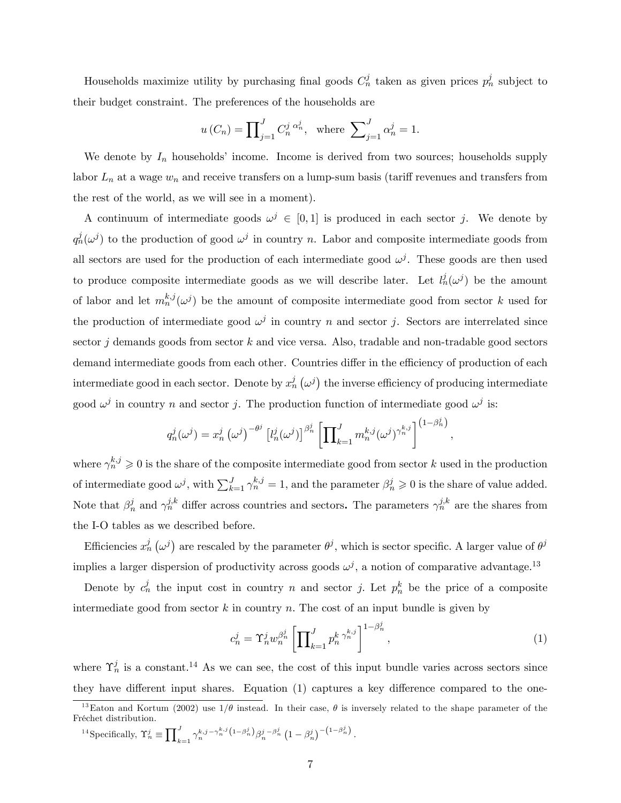Households maximize utility by purchasing final goods  $C_n^j$  taken as given prices  $p_n^j$  subject to their budget constraint. The preferences of the households are

$$
u(C_n) = \prod_{j=1}^{J} C_n^{j \alpha_n^{j}}
$$
, where  $\sum_{j=1}^{J} \alpha_n^{j} = 1$ .

We denote by  $I_n$  households' income. Income is derived from two sources; households supply labor  $L_n$  at a wage  $w_n$  and receive transfers on a lump-sum basis (tariff revenues and transfers from the rest of the world, as we will see in a moment).

A continuum of intermediate goods  $\omega^j \in [0,1]$  is produced in each sector j. We denote by  $q_n^j(\omega^j)$  to the production of good  $\omega^j$  in country n. Labor and composite intermediate goods from all sectors are used for the production of each intermediate good  $\omega^j$ . These goods are then used to produce composite intermediate goods as we will describe later. Let  $l_n^j(\omega^j)$  be the amount of labor and let  $m_n^{k,j}(\omega^j)$  be the amount of composite intermediate good from sector k used for the production of intermediate good  $\omega^j$  in country n and sector j. Sectors are interrelated since sector j demands goods from sector k and vice versa. Also, tradable and non-tradable good sectors demand intermediate goods from each other. Countries differ in the efficiency of production of each intermediate good in each sector. Denote by  $x_n^j(\omega^j)$  the inverse efficiency of producing intermediate good  $\omega^j$  in country n and sector j. The production function of intermediate good  $\omega^j$  is:

$$
q_n^j(\omega^j) = x_n^j(\omega^j)^{-\theta^j} \left[ l_n^j(\omega^j) \right]^{\beta_n^j} \left[ \prod_{k=1}^J m_n^{k,j}(\omega^j)^{\gamma_n^{k,j}} \right]^{(1-\beta_n^j)},
$$

where  $\gamma_n^{k,j} \geqslant 0$  is the share of the composite intermediate good from sector k used in the production of intermediate good  $\omega^j$ , with  $\sum_{k=1}^J \gamma_n^{k,j} = 1$ , and the parameter  $\beta_n^j \geqslant 0$  is the share of value added. Note that  $\beta_n^j$  and  $\gamma_n^{j,k}$  differ across countries and sectors. The parameters  $\gamma_n^{j,k}$  are the shares from the I-O tables as we described before.

Efficiencies  $x_n^j(\omega^j)$  are rescaled by the parameter  $\theta^j$ , which is sector specific. A larger value of  $\theta^j$ implies a larger dispersion of productivity across goods  $\omega^j$ , a notion of comparative advantage.<sup>13</sup>

Denote by  $c_n^j$  the input cost in country n and sector j. Let  $p_n^k$  be the price of a composite intermediate good from sector  $k$  in country  $n$ . The cost of an input bundle is given by

$$
c_n^j = \Upsilon_n^j w_n^{\beta_n^j} \left[ \prod_{k=1}^J p_n^k \gamma_n^{k,j} \right]^{1-\beta_n^j}, \tag{1}
$$

where  $\Upsilon_n^j$  is a constant.<sup>14</sup> As we can see, the cost of this input bundle varies across sectors since they have different input shares. Equation  $(1)$  captures a key difference compared to the one-

<sup>&</sup>lt;sup>13</sup>Eaton and Kortum (2002) use  $1/\theta$  instead. In their case,  $\theta$  is inversely related to the shape parameter of the Fréchet distribution.

<sup>&</sup>lt;sup>14</sup>Specifically,  $\Upsilon_n^j \equiv \prod_k^J$  $\int_{k=1}^{J} \gamma_n^{k,j} \gamma_n^{\kappa,j} \left(1-\beta_n^j\right) \beta_n^j - \beta_n^j \left(1-\beta_n^j\right)^{-\left(1-\beta_n^j\right)}$ .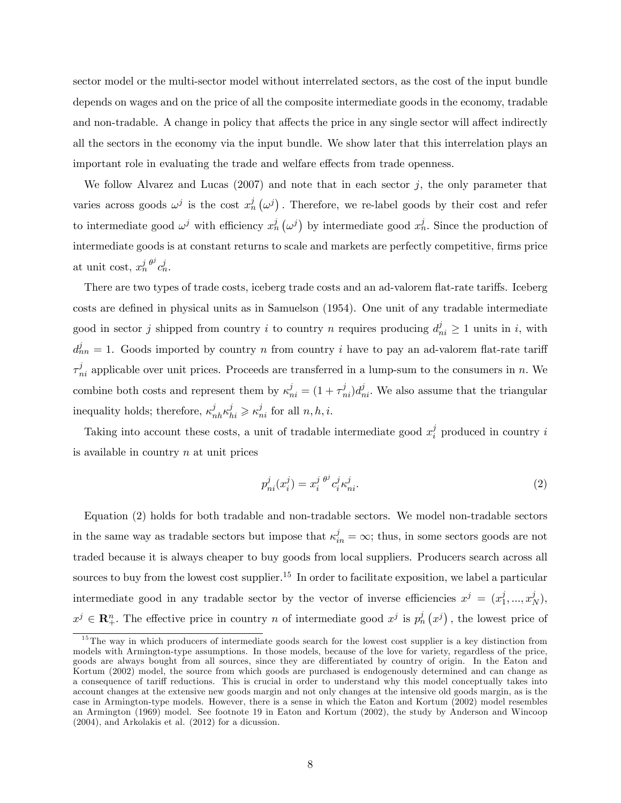sector model or the multi-sector model without interrelated sectors, as the cost of the input bundle depends on wages and on the price of all the composite intermediate goods in the economy, tradable and non-tradable. A change in policy that affects the price in any single sector will affect indirectly all the sectors in the economy via the input bundle. We show later that this interrelation plays an important role in evaluating the trade and welfare effects from trade openness.

We follow Alvarez and Lucas  $(2007)$  and note that in each sector j, the only parameter that varies across goods  $\omega^j$  is the cost  $x_n^j(\omega^j)$ . Therefore, we re-label goods by their cost and refer to intermediate good  $\omega^j$  with efficiency  $x_n^j(\omega^j)$  by intermediate good  $x_n^j$ . Since the production of intermediate goods is at constant returns to scale and markets are perfectly competitive, firms price at unit cost,  $x_n^j \frac{\theta^j}{c_n^j}$ .

There are two types of trade costs, iceberg trade costs and an ad-valorem flat-rate tariffs. Iceberg costs are defined in physical units as in Samuelson (1954). One unit of any tradable intermediate good in sector j shipped from country i to country n requires producing  $d_{ni}^j \geq 1$  units in i, with  $d_{nn}^j = 1$ . Goods imported by country n from country i have to pay an ad-valorem flat-rate tariff  $\tau_{ni}^{j}$  applicable over unit prices. Proceeds are transferred in a lump-sum to the consumers in n. We combine both costs and represent them by  $\kappa_{ni}^j = (1 + \tau_{ni}^j) d_{ni}^j$ . We also assume that the triangular inequality holds; therefore,  $\kappa_{nh}^j \kappa_{hi}^j \geqslant \kappa_{ni}^j$  for all  $n, h, i$ .

Taking into account these costs, a unit of tradable intermediate good  $x_i^j$  $i$  produced in country i is available in country  $n$  at unit prices

$$
p_{ni}^j(x_i^j) = x_i^j \stackrel{\theta^j}{\sim} c_i^j \kappa_{ni}^j. \tag{2}
$$

Equation (2) holds for both tradable and non-tradable sectors. We model non-tradable sectors in the same way as tradable sectors but impose that  $\kappa_{in}^j = \infty$ ; thus, in some sectors goods are not traded because it is always cheaper to buy goods from local suppliers. Producers search across all sources to buy from the lowest cost supplier.<sup>15</sup> In order to facilitate exposition, we label a particular intermediate good in any tradable sector by the vector of inverse efficiencies  $x^{j} = (x_1^{j})$  $j_1, ..., x_l^j$  $_{N}^{j}),$  $x^j \in \mathbb{R}_+^n$ . The effective price in country *n* of intermediate good  $x^j$  is  $p_n^j(x^j)$ , the lowest price of

<sup>&</sup>lt;sup>15</sup>The way in which producers of intermediate goods search for the lowest cost supplier is a key distinction from models with Armington-type assumptions. In those models, because of the love for variety, regardless of the price, goods are always bought from all sources, since they are differentiated by country of origin. In the Eaton and Kortum (2002) model, the source from which goods are purchased is endogenously determined and can change as a consequence of tariff reductions. This is crucial in order to understand why this model conceptually takes into account changes at the extensive new goods margin and not only changes at the intensive old goods margin, as is the case in Armington-type models. However, there is a sense in which the Eaton and Kortum (2002) model resembles an Armington (1969) model. See footnote 19 in Eaton and Kortum (2002), the study by Anderson and Wincoop (2004), and Arkolakis et al. (2012) for a dicussion.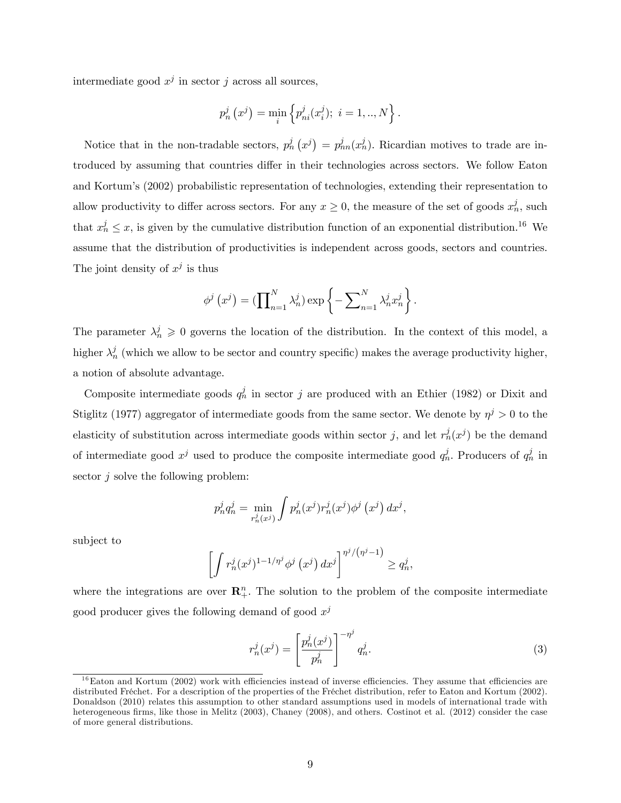intermediate good  $x^j$  in sector j across all sources,

$$
p_n^j(x^j) = \min_i \{p_{ni}^j(x_i^j); i = 1, ..., N\}.
$$

Notice that in the non-tradable sectors,  $p_n^j(x^j) = p_{nn}^j(x_n^j)$ . Ricardian motives to trade are introduced by assuming that countries differ in their technologies across sectors. We follow Eaton and Kortumís (2002) probabilistic representation of technologies, extending their representation to allow productivity to differ across sectors. For any  $x \geq 0$ , the measure of the set of goods  $x_n^j$ , such that  $x_n^j \leq x$ , is given by the cumulative distribution function of an exponential distribution.<sup>16</sup> We assume that the distribution of productivities is independent across goods, sectors and countries. The joint density of  $x^j$  is thus

$$
\phi^{j}(x^{j}) = \left(\prod_{n=1}^{N} \lambda_{n}^{j}\right) \exp\left\{-\sum_{n=1}^{N} \lambda_{n}^{j} x_{n}^{j}\right\}.
$$

The parameter  $\lambda_n^j \geqslant 0$  governs the location of the distribution. In the context of this model, a higher  $\lambda_n^j$  (which we allow to be sector and country specific) makes the average productivity higher, a notion of absolute advantage.

Composite intermediate goods  $q_n^j$  in sector j are produced with an Ethier (1982) or Dixit and Stiglitz (1977) aggregator of intermediate goods from the same sector. We denote by  $\eta^j > 0$  to the elasticity of substitution across intermediate goods within sector j, and let  $r_n^j(x^j)$  be the demand of intermediate good  $x^j$  used to produce the composite intermediate good  $q_n^j$ . Producers of  $q_n^j$  in sector *j* solve the following problem:

$$
p_n^j q_n^j = \min_{r_n^j(x^j)} \int p_n^j(x^j) r_n^j(x^j) \phi^j(x^j) dx^j,
$$

subject to

$$
\left[\int r_n^j (x^j)^{1-1/\eta^j} \phi^j (x^j) dx^j \right]^{\eta^j/(\eta^j-1)} \ge q_n^j,
$$

where the integrations are over  $\mathbb{R}^n_+$ . The solution to the problem of the composite intermediate good producer gives the following demand of good  $x^j$ 

$$
r_n^j(x^j) = \left[\frac{p_n^j(x^j)}{p_n^j}\right]^{-\eta^j} q_n^j.
$$
\n(3)

 $^{16}$ Eaton and Kortum (2002) work with efficiencies instead of inverse efficiencies. They assume that efficiencies are distributed Fréchet. For a description of the properties of the Fréchet distribution, refer to Eaton and Kortum (2002). Donaldson (2010) relates this assumption to other standard assumptions used in models of international trade with heterogeneous firms, like those in Melitz (2003), Chaney (2008), and others. Costinot et al. (2012) consider the case of more general distributions.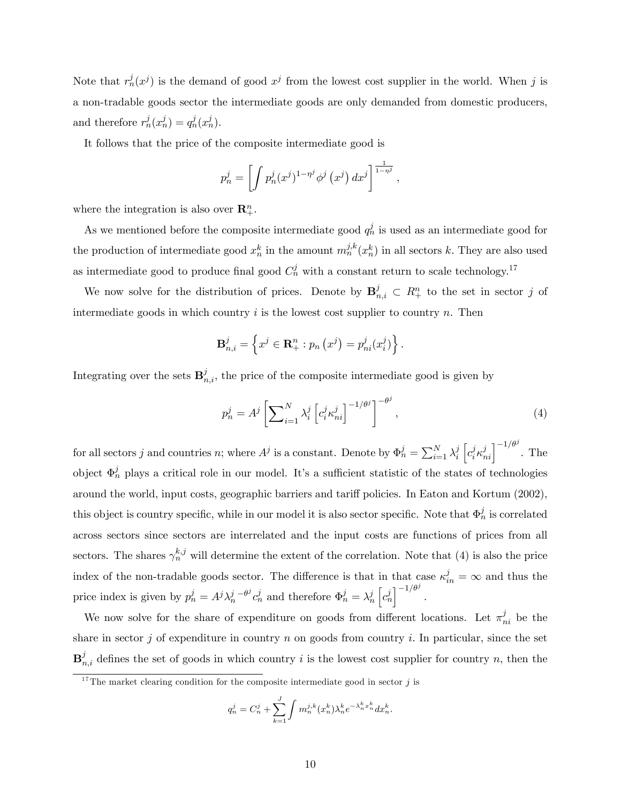Note that  $r_n^j(x^j)$  is the demand of good  $x^j$  from the lowest cost supplier in the world. When j is a non-tradable goods sector the intermediate goods are only demanded from domestic producers, and therefore  $r_n^j(x_n^j) = q_n^j(x_n^j)$ .

It follows that the price of the composite intermediate good is

$$
p_n^j = \left[ \int p_n^j (x^j)^{1 - \eta^j} \phi^j (x^j) dx^j \right]^{\frac{1}{1 - \eta^j}},
$$

where the integration is also over  $\mathbf{R}_{+}^{n}$ .

As we mentioned before the composite intermediate good  $q_n^j$  is used as an intermediate good for the production of intermediate good  $x_n^k$  in the amount  $m_n^{j,k}(x_n^k)$  in all sectors k. They are also used as intermediate good to produce final good  $C_n^j$  with a constant return to scale technology.<sup>17</sup>

We now solve for the distribution of prices. Denote by  $\mathbf{B}_{n,i}^j \subset R_+^n$  to the set in sector j of intermediate goods in which country  $i$  is the lowest cost supplier to country  $n$ . Then

$$
\mathbf{B}_{n,i}^j = \left\{ x^j \in \mathbf{R}_+^n : p_n(x^j) = p_{ni}^j(x_i^j) \right\}.
$$

Integrating over the sets  $\mathbf{B}_{n,i}^j$ , the price of the composite intermediate good is given by

$$
p_n^j = A^j \left[ \sum_{i=1}^N \lambda_i^j \left[ c_i^j \kappa_{ni}^j \right]^{-1/\theta^j} \right]^{-\theta^j},\tag{4}
$$

for all sectors j and countries n; where  $A^j$  is a constant. Denote by  $\Phi_n^j = \sum_{i=1}^N \lambda_i^j$ i  $c_i^j$  $\left[i\kappa_{ni}^j\right]^{-1/\theta^j}$ . The object  $\Phi_n^j$  plays a critical role in our model. It's a sufficient statistic of the states of technologies around the world, input costs, geographic barriers and tariff policies. In Eaton and Kortum (2002), this object is country specific, while in our model it is also sector specific. Note that  $\Phi_n^j$  is correlated across sectors since sectors are interrelated and the input costs are functions of prices from all sectors. The shares  $\gamma_n^{k,j}$  will determine the extent of the correlation. Note that (4) is also the price index of the non-tradable goods sector. The difference is that in that case  $\kappa_{in}^j = \infty$  and thus the price index is given by  $p_n^j = A^j \lambda_n^{j - \theta^j}$  $j_n^{-\theta^j}c_n^j$  and therefore  $\Phi_n^j = \lambda_n^j$  $\left[c_n^j\right]^{-1/\theta^j}$ :

We now solve for the share of expenditure on goods from different locations. Let  $\pi_{ni}^{j}$  be the share in sector j of expenditure in country n on goods from country i. In particular, since the set  $\mathbf{B}_{n,i}^j$  defines the set of goods in which country i is the lowest cost supplier for country n, then the

$$
q_n^j = C_n^j + \sum_{k=1}^J \int m_n^{j,k}(x_n^k) \lambda_n^k e^{-\lambda_n^k x_n^k} dx_n^k.
$$

<sup>&</sup>lt;sup>17</sup>The market clearing condition for the composite intermediate good in sector j is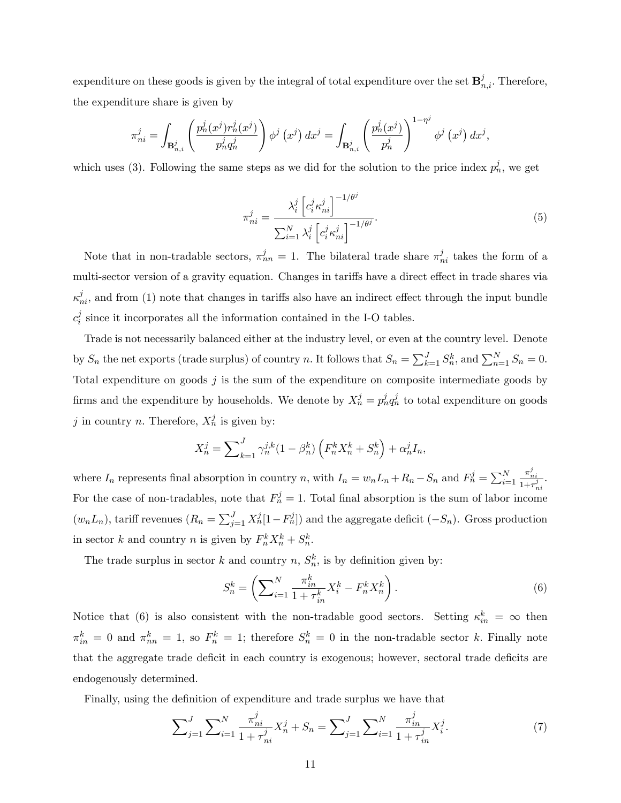expenditure on these goods is given by the integral of total expenditure over the set  $\mathbf{B}_{n,i}^j$ . Therefore, the expenditure share is given by

$$
\pi_{ni}^j = \int_{\mathbf{B}_{n,i}^j} \left( \frac{p_n^j(x^j) r_n^j(x^j)}{p_n^j q_n^j} \right) \phi^j(x^j) dx^j = \int_{\mathbf{B}_{n,i}^j} \left( \frac{p_n^j(x^j)}{p_n^j} \right)^{1 - \eta^j} \phi^j(x^j) dx^j,
$$

which uses (3). Following the same steps as we did for the solution to the price index  $p_n^j$ , we get

$$
\pi_{ni}^j = \frac{\lambda_i^j \left[ c_i^j \kappa_{ni}^j \right]^{-1/\theta^j}}{\sum_{i=1}^N \lambda_i^j \left[ c_i^j \kappa_{ni}^j \right]^{-1/\theta^j}}.
$$
\n(5)

Note that in non-tradable sectors,  $\pi_{nn}^j = 1$ . The bilateral trade share  $\pi_{ni}^j$  takes the form of a multi-sector version of a gravity equation. Changes in tariffs have a direct effect in trade shares via  $\kappa_{ni}^{j}$ , and from (1) note that changes in tariffs also have an indirect effect through the input bundle  $c_i^j$  $i<sub>i</sub>$  since it incorporates all the information contained in the I-O tables.

Trade is not necessarily balanced either at the industry level, or even at the country level. Denote by  $S_n$  the net exports (trade surplus) of country n. It follows that  $S_n = \sum_{k=1}^J S_n^k$ , and  $\sum_{n=1}^N S_n = 0$ . Total expenditure on goods  $j$  is the sum of the expenditure on composite intermediate goods by firms and the expenditure by households. We denote by  $X_n^j = p_n^j q_n^j$  to total expenditure on goods j in country n. Therefore,  $X_n^j$  is given by:

$$
X_n^j = \sum_{k=1}^J \gamma_n^{j,k} (1 - \beta_n^k) \left( F_n^k X_n^k + S_n^k \right) + \alpha_n^j I_n,
$$

where  $I_n$  represents final absorption in country n, with  $I_n = w_n L_n + R_n - S_n$  and  $F_n^j = \sum_{i=1}^N S_i$  $\frac{\pi_{ni}^j}{1+\tau_{ni}^j}.$ ni For the case of non-tradables, note that  $F_n^j = 1$ . Total final absorption is the sum of labor income  $(w_n L_n)$ , tariff revenues  $(R_n = \sum_{j=1}^J X_n^j [1 - F_n^j])$  and the aggregate deficit  $(-S_n)$ . Gross production in sector k and country n is given by  $F_n^k X_n^k + S_n^k$ .

The trade surplus in sector k and country  $n, S_n^k$ , is by definition given by:

$$
S_n^k = \left(\sum_{i=1}^N \frac{\pi_{in}^k}{1 + \tau_{in}^k} X_i^k - F_n^k X_n^k\right).
$$
 (6)

Notice that (6) is also consistent with the non-tradable good sectors. Setting  $\kappa_{in}^k = \infty$  then  $\pi_{in}^k = 0$  and  $\pi_{nn}^k = 1$ , so  $F_n^k = 1$ ; therefore  $S_n^k = 0$  in the non-tradable sector k. Finally note that the aggregate trade deficit in each country is exogenous; however, sectoral trade deficits are endogenously determined.

Finally, using the definition of expenditure and trade surplus we have that

$$
\sum_{j=1}^{J} \sum_{i=1}^{N} \frac{\pi_{ni}^{j}}{1 + \tau_{ni}^{j}} X_{n}^{j} + S_{n} = \sum_{j=1}^{J} \sum_{i=1}^{N} \frac{\pi_{in}^{j}}{1 + \tau_{in}^{j}} X_{i}^{j}.
$$
 (7)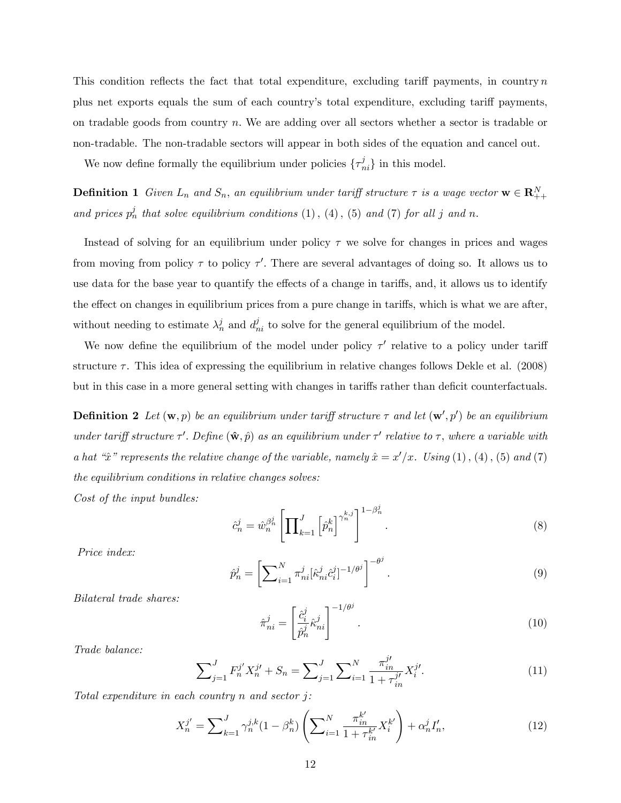This condition reflects the fact that total expenditure, excluding tariff payments, in country  $n$ plus net exports equals the sum of each country's total expenditure, excluding tariff payments, on tradable goods from country  $n$ . We are adding over all sectors whether a sector is tradable or non-tradable. The non-tradable sectors will appear in both sides of the equation and cancel out.

We now define formally the equilibrium under policies  $\{\tau_{ni}^j\}$  in this model.

**Definition 1** Given  $L_n$  and  $S_n$ , an equilibrium under tariff structure  $\tau$  is a wage vector  $\mathbf{w} \in \mathbf{R}_{++}^N$ and prices  $p_n^j$  that solve equilibrium conditions  $(1)$ ,  $(4)$ ,  $(5)$  and  $(7)$  for all j and n.

Instead of solving for an equilibrium under policy  $\tau$  we solve for changes in prices and wages from moving from policy  $\tau$  to policy  $\tau'$ . There are several advantages of doing so. It allows us to use data for the base year to quantify the effects of a change in tariffs, and, it allows us to identify the effect on changes in equilibrium prices from a pure change in tariffs, which is what we are after, without needing to estimate  $\lambda_n^j$  and  $d_{ni}^j$  to solve for the general equilibrium of the model.

We now define the equilibrium of the model under policy  $\tau'$  relative to a policy under tariff structure  $\tau$ . This idea of expressing the equilibrium in relative changes follows Dekle et al. (2008) but in this case in a more general setting with changes in tariffs rather than deficit counterfactuals.

**Definition 2** Let  $(\mathbf{w}, p)$  be an equilibrium under tariff structure  $\tau$  and let  $(\mathbf{w}', p')$  be an equilibrium under tariff structure  $\tau'$ . Define  $(\hat{\mathbf{w}}, \hat{p})$  as an equilibrium under  $\tau'$  relative to  $\tau$ , where a variable with a hat " $\hat{x}$ " represents the relative change of the variable, namely  $\hat{x} = x'/x$ . Using (1), (4), (5) and (7) the equilibrium conditions in relative changes solves:

Cost of the input bundles:

$$
\hat{c}_n^j = \hat{w}_n^{\beta_n^j} \left[ \prod_{k=1}^J \left[ \hat{p}_n^k \right] \right]^{\gamma_n^{k,j}} \right]^{1-\beta_n^j}.
$$
\n(8)

Price index:

$$
\hat{p}_n^j = \left[ \sum_{i=1}^N \pi_{ni}^j [\hat{\kappa}_{ni}^j \hat{c}_i^j]^{-1/\theta^j} \right]^{-\theta^j}.
$$
\n(9)

Bilateral trade shares:

$$
\hat{\pi}_{ni}^j = \left[\frac{\hat{c}_i^j}{\hat{p}_n^j} \hat{\kappa}_{ni}^j\right]^{-1/\theta^j}.
$$
\n(10)

Trade balance:

$$
\sum_{j=1}^{J} F_n^{j'} X_n^{j'} + S_n = \sum_{j=1}^{J} \sum_{i=1}^{N} \frac{\pi_{in}^{j'}}{1 + \tau_{in}^{j'}} X_i^{j'}.
$$
\n(11)

Total expenditure in each country  $n$  and sector  $j$ :

$$
X_n^{j'} = \sum_{k=1}^J \gamma_n^{j,k} (1 - \beta_n^k) \left( \sum_{i=1}^N \frac{\pi_{in}^{k'}}{1 + \tau_{in}^{k'}} X_i^{k'} \right) + \alpha_n^j I_n', \tag{12}
$$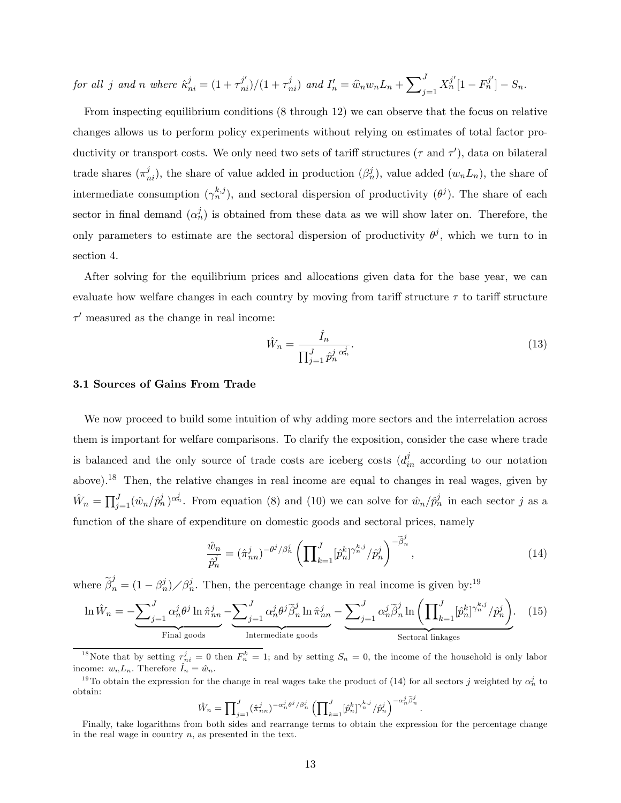for all j and n where 
$$
\hat{\kappa}_{ni}^j = (1 + \tau_{ni}^{j'})/(1 + \tau_{ni}^j)
$$
 and  $I'_n = \hat{w}_n w_n L_n + \sum_{j=1}^J X_n^{j'} [1 - F_n^{j'}] - S_n$ .

From inspecting equilibrium conditions (8 through 12) we can observe that the focus on relative changes allows us to perform policy experiments without relying on estimates of total factor productivity or transport costs. We only need two sets of tariff structures ( $\tau$  and  $\tau'$ ), data on bilateral trade shares  $(\pi_{ni}^j)$ , the share of value added in production  $(\beta_n^j)$ , value added  $(w_n L_n)$ , the share of intermediate consumption  $(\gamma_n^{k,j})$ , and sectoral dispersion of productivity  $(\theta^j)$ . The share of each sector in final demand  $(\alpha_n^j)$  is obtained from these data as we will show later on. Therefore, the only parameters to estimate are the sectoral dispersion of productivity  $\theta^j$ , which we turn to in section 4.

After solving for the equilibrium prices and allocations given data for the base year, we can evaluate how welfare changes in each country by moving from tariff structure  $\tau$  to tariff structure  $\tau'$  measured as the change in real income:

$$
\hat{W}_n = \frac{\hat{I}_n}{\prod_{j=1}^J \hat{p}_n^j \alpha_n^j}.
$$
\n(13)

#### 3.1 Sources of Gains From Trade

We now proceed to build some intuition of why adding more sectors and the interrelation across them is important for welfare comparisons. To clarify the exposition, consider the case where trade is balanced and the only source of trade costs are iceberg costs  $(d<sub>in</sub><sup>j</sup>$  according to our notation above).<sup>18</sup> Then, the relative changes in real income are equal to changes in real wages, given by  $\hat{W}_n = \prod_{j=1}^J (\hat{w}_n / \hat{p}_n^j)^{\alpha_n^j}$ . From equation (8) and (10) we can solve for  $\hat{w}_n / \hat{p}_n^j$  in each sector j as a function of the share of expenditure on domestic goods and sectoral prices, namely

$$
\frac{\hat{w}_n}{\hat{p}_n^j} = (\hat{\pi}_{nn}^j)^{-\theta^j/\beta_n^j} \left( \prod_{k=1}^J [\hat{p}_n^k]^{\gamma_n^{k,j}} / \hat{p}_n^j \right)^{-\widetilde{\beta}_n^j},\tag{14}
$$

:

where  $\tilde{\beta}_n^j = (1 - \beta_n^j) \diagup \beta_n^j$ . Then, the percentage change in real income is given by:<sup>19</sup>

$$
\ln \hat{W}_n = -\underbrace{\sum_{j=1}^J \alpha_n^j \theta^j \ln \hat{\pi}_{nn}^j}_{\text{Final goods}} - \underbrace{\sum_{j=1}^J \alpha_n^j \theta^j \tilde{\beta}_n^j \ln \hat{\pi}_{nn}^j}_{\text{Intermediate goods}} - \underbrace{\sum_{j=1}^J \alpha_n^j \tilde{\beta}_n^j \ln \left( \prod_{k=1}^J [\hat{p}_n^k]^{\gamma_n^{k,j}} / \hat{p}_n^j \right)}_{\text{Section linkages}}.
$$
 (15)

$$
\hat{W}_n = \prod_{j=1}^J (\hat{\pi}_{nn}^j)^{-\alpha_n^j \theta^j / \beta_n^j} \left( \prod_{k=1}^J [\hat{p}_n^{k}]^{\gamma_n^{k,j}} / \hat{p}_n^j \right)^{-\alpha_n^j \tilde{\beta}_n^j}
$$
\nwhich yields and rearrange terms to obtain the curve

Finally, take logarithms from both sides and rearrange terms to obtain the expression for the percentage change in the real wage in country  $n$ , as presented in the text.

<sup>&</sup>lt;sup>18</sup>Note that by setting  $\tau_{ni}^j = 0$  then  $F_n^k = 1$ ; and by setting  $S_n = 0$ , the income of the household is only labor income:  $w_n L_n$ . Therefore  $I_n = \hat{w}_n$ .

<sup>&</sup>lt;sup>19</sup>To obtain the expression for the change in real wages take the product of (14) for all sectors j weighted by  $\alpha_n^j$  to obtain: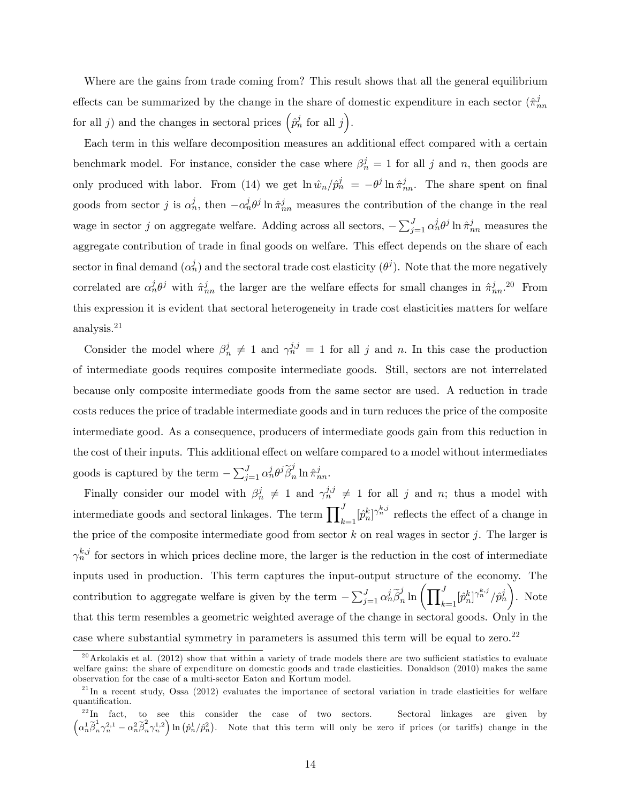Where are the gains from trade coming from? This result shows that all the general equilibrium effects can be summarized by the change in the share of domestic expenditure in each sector  $(\hat{\pi}_{nn}^j)$ for all j) and the changes in sectoral prices  $(\hat{p}_n^j$  for all j).

Each term in this welfare decomposition measures an additional effect compared with a certain benchmark model. For instance, consider the case where  $\beta_n^j = 1$  for all j and n, then goods are only produced with labor. From (14) we get  $\ln \hat{w}_n / \hat{p}_n^j = -\theta^j \ln \hat{\pi}_{nn}^j$ . The share spent on final goods from sector j is  $\alpha_n^j$ , then  $-\alpha_n^j \theta^j \ln \hat{\pi}_{nn}^j$  measures the contribution of the change in the real wage in sector *j* on aggregate welfare. Adding across all sectors,  $-\sum_{j=1}^{J} \alpha_n^j \theta^j \ln \hat{\pi}_{nn}^j$  measures the aggregate contribution of trade in final goods on welfare. This effect depends on the share of each sector in final demand  $(\alpha_n^j)$  and the sectoral trade cost elasticity  $(\theta^j)$ . Note that the more negatively correlated are  $\alpha_n^j \theta^j$  with  $\hat{\pi}_{nn}^j$  the larger are the welfare effects for small changes in  $\hat{\pi}_{nn}^j$ .<sup>20</sup> From this expression it is evident that sectoral heterogeneity in trade cost elasticities matters for welfare analysis.<sup>21</sup>

Consider the model where  $\beta_n^j \neq 1$  and  $\gamma_n^{j,j} = 1$  for all j and n. In this case the production of intermediate goods requires composite intermediate goods. Still, sectors are not interrelated because only composite intermediate goods from the same sector are used. A reduction in trade costs reduces the price of tradable intermediate goods and in turn reduces the price of the composite intermediate good. As a consequence, producers of intermediate goods gain from this reduction in the cost of their inputs. This additional effect on welfare compared to a model without intermediates goods is captured by the term  $-\sum_{j=1}^{J} \alpha_n^j \theta^j \tilde{\beta}_n^j$  $\int_n^j \ln \hat{\pi}_{nn}^j$ .

Finally consider our model with  $\beta_n^j \neq 1$  and  $\gamma_n^{j,j} \neq 1$  for all j and n; thus a model with intermediate goods and sectoral linkages. The term  $\prod_{k=1}^{J} [\hat{p}_n^k]^{\gamma_n^{k,j}}$  reflects the effect of a change in the price of the composite intermediate good from sector  $k$  on real wages in sector  $j$ . The larger is  $\gamma_n^{k,j}$  for sectors in which prices decline more, the larger is the reduction in the cost of intermediate inputs used in production. This term captures the input-output structure of the economy. The contribution to aggregate welfare is given by the term  $-\sum_{j=1}^{J} \alpha_n^j \tilde{\beta}_n^j$  $\frac{d}{d n} \ln \bigg(\prod_{k=1}^J [\hat{p}^k_n]^{\gamma^{k,j}_n} / \hat{p}^j_n$  $\setminus$ . Note that this term resembles a geometric weighted average of the change in sectoral goods. Only in the case where substantial symmetry in parameters is assumed this term will be equal to zero.<sup>22</sup>

 $^{20}$ Arkolakis et al. (2012) show that within a variety of trade models there are two sufficient statistics to evaluate welfare gains: the share of expenditure on domestic goods and trade elasticities. Donaldson (2010) makes the same observation for the case of a multi-sector Eaton and Kortum model.

 $^{21}$ In a recent study, Ossa (2012) evaluates the importance of sectoral variation in trade elasticities for welfare quantification.

 $22 \text{ In }$  fact, to see this consider the case of two sectors. Sectoral linkages are given by  $\left(\alpha_n^1\tilde{\beta}_n^1\gamma_n^{2,1}-\alpha_n^2\tilde{\beta}_n^2\gamma_n^{1,2}\right)\ln\left(\hat{p}_n^1/\hat{p}_n^2\right)$ . Note that this term will only be zero if prices (or tariffs) change in the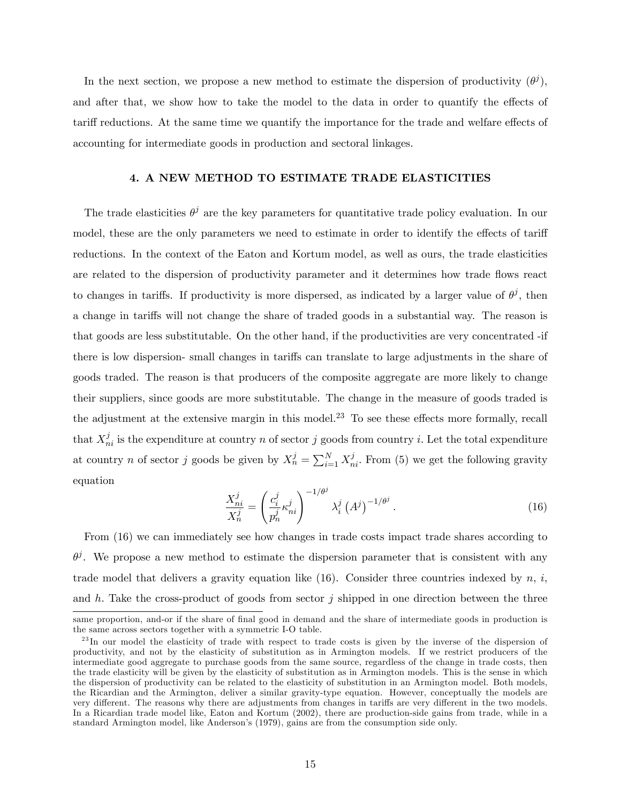In the next section, we propose a new method to estimate the dispersion of productivity  $(\theta^j)$ , and after that, we show how to take the model to the data in order to quantify the effects of tariff reductions. At the same time we quantify the importance for the trade and welfare effects of accounting for intermediate goods in production and sectoral linkages.

### 4. A NEW METHOD TO ESTIMATE TRADE ELASTICITIES

The trade elasticities  $\theta^j$  are the key parameters for quantitative trade policy evaluation. In our model, these are the only parameters we need to estimate in order to identify the effects of tariff reductions. In the context of the Eaton and Kortum model, as well as ours, the trade elasticities are related to the dispersion of productivity parameter and it determines how trade flows react to changes in tariffs. If productivity is more dispersed, as indicated by a larger value of  $\theta^j$ , then a change in tariffs will not change the share of traded goods in a substantial way. The reason is that goods are less substitutable. On the other hand, if the productivities are very concentrated -if there is low dispersion- small changes in tariffs can translate to large adjustments in the share of goods traded. The reason is that producers of the composite aggregate are more likely to change their suppliers, since goods are more substitutable. The change in the measure of goods traded is the adjustment at the extensive margin in this model.<sup>23</sup> To see these effects more formally, recall that  $X_{ni}^j$  is the expenditure at country n of sector j goods from country i. Let the total expenditure at country *n* of sector *j* goods be given by  $X_n^j = \sum_{i=1}^N X_{ni}^j$ . From (5) we get the following gravity equation

$$
\frac{X_{ni}^j}{X_n^j} = \left(\frac{c_i^j}{p_n^j} \kappa_{ni}^j\right)^{-1/\theta^j} \lambda_i^j \left(A^j\right)^{-1/\theta^j}.\tag{16}
$$

From (16) we can immediately see how changes in trade costs impact trade shares according to  $\theta^j$ . We propose a new method to estimate the dispersion parameter that is consistent with any trade model that delivers a gravity equation like  $(16)$ . Consider three countries indexed by n, i, and h. Take the cross-product of goods from sector  $\dot{\eta}$  shipped in one direction between the three

same proportion, and-or if the share of final good in demand and the share of intermediate goods in production is the same across sectors together with a symmetric I-O table.

<sup>&</sup>lt;sup>23</sup>In our model the elasticity of trade with respect to trade costs is given by the inverse of the dispersion of productivity, and not by the elasticity of substitution as in Armington models. If we restrict producers of the intermediate good aggregate to purchase goods from the same source, regardless of the change in trade costs, then the trade elasticity will be given by the elasticity of substitution as in Armington models. This is the sense in which the dispersion of productivity can be related to the elasticity of substitution in an Armington model. Both models, the Ricardian and the Armington, deliver a similar gravity-type equation. However, conceptually the models are very different. The reasons why there are adjustments from changes in tariffs are very different in the two models. In a Ricardian trade model like, Eaton and Kortum (2002), there are production-side gains from trade, while in a standard Armington model, like Anderson's (1979), gains are from the consumption side only.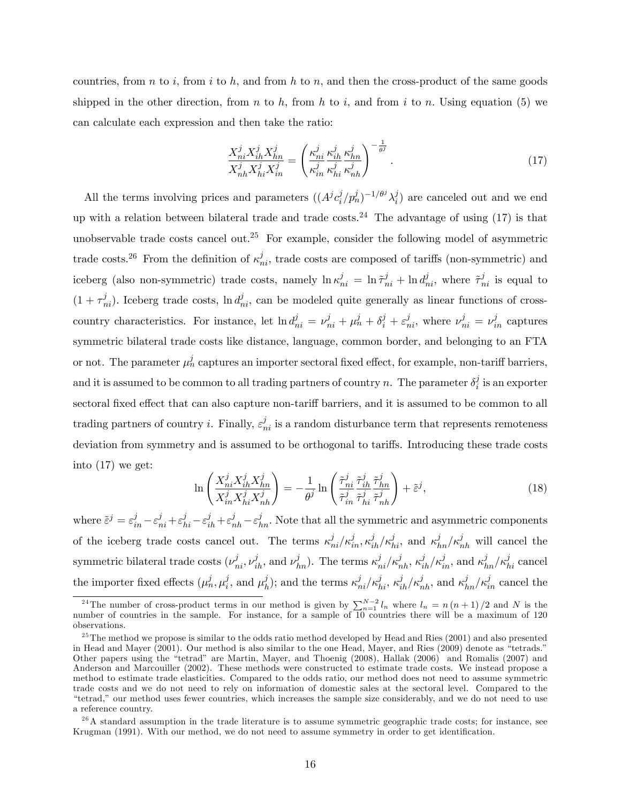countries, from n to i, from i to h, and from h to n, and then the cross-product of the same goods shipped in the other direction, from n to h, from h to i, and from i to n. Using equation (5) we can calculate each expression and then take the ratio:

$$
\frac{X_{ni}^{j} X_{ih}^{j} X_{hn}^{j}}{X_{nh}^{j} X_{hi}^{j} X_{in}^{j}} = \left(\frac{\kappa_{ni}^{j}}{\kappa_{in}^{j}} \frac{\kappa_{ih}^{j}}{\kappa_{hi}^{j}} \frac{\kappa_{hn}^{j}}{\kappa_{nh}^{j}}\right)^{-\frac{1}{\theta^{j}}}.
$$
\n(17)

All the terms involving prices and parameters  $((A<sup>j</sup>c<sub>i</sub>)<sub>j</sub>)$  $\frac{j}{i}/p_n^j)^{-1/\theta^j}\lambda_i^j$  $i$ ) are canceled out and we end up with a relation between bilateral trade and trade costs.<sup>24</sup> The advantage of using  $(17)$  is that unobservable trade costs cancel out.<sup>25</sup> For example, consider the following model of asymmetric trade costs.<sup>26</sup> From the definition of  $\kappa_{ni}^j$ , trade costs are composed of tariffs (non-symmetric) and iceberg (also non-symmetric) trade costs, namely  $\ln \kappa_{ni}^j = \ln \tilde{\tau}_{ni}^j + \ln d_{ni}^j$ , where  $\tilde{\tau}_{ni}^j$  is equal to  $(1 + \tau_{ni}^j)$ . Iceberg trade costs,  $\ln d_{ni}^j$ , can be modeled quite generally as linear functions of crosscountry characteristics. For instance, let  $\ln d_{ni}^j = \nu_{ni}^j + \mu_n^j + \delta_i^j + \varepsilon_{ni}^j$ , where  $\nu_{ni}^j = \nu_{in}^j$  captures symmetric bilateral trade costs like distance, language, common border, and belonging to an FTA or not. The parameter  $\mu_n^j$  captures an importer sectoral fixed effect, for example, non-tariff barriers, and it is assumed to be common to all trading partners of country n. The parameter  $\delta_i^j$  $\frac{j}{i}$  is an exporter sectoral fixed effect that can also capture non-tariff barriers, and it is assumed to be common to all trading partners of country *i*. Finally,  $\varepsilon_{ni}^{j}$  is a random disturbance term that represents remoteness deviation from symmetry and is assumed to be orthogonal to tariffs. Introducing these trade costs into (17) we get:

$$
\ln\left(\frac{X_{ni}^j X_{ih}^j X_{hn}^j}{X_{in}^j X_{hi}^j X_{nh}^j}\right) = -\frac{1}{\theta^j} \ln\left(\frac{\tilde{\tau}_{ni}^j}{\tilde{\tau}_{in}^j} \frac{\tilde{\tau}_{ih}^j}{\tilde{\tau}_{hi}^j} \frac{\tilde{\tau}_{ih}^j}{\tilde{\tau}_{hi}^j} \right) + \tilde{\varepsilon}^j,\tag{18}
$$

where  $\tilde{\epsilon}^j = \epsilon_{in}^j - \epsilon_{ni}^j + \epsilon_{hi}^j - \epsilon_{ih}^j + \epsilon_{nh}^j - \epsilon_{hn}^j$ . Note that all the symmetric and asymmetric components of the iceberg trade costs cancel out. The terms  $\kappa_{ni}^j/\kappa_{in}^j, \kappa_{ih}^j/\kappa_{hi}^j$ , and  $\kappa_{hn}^j/\kappa_{nh}^j$  will cancel the symmetric bilateral trade costs  $(\nu_{ni}^j, \nu_{ih}^j,$  and  $\nu_{hn}^j)$ . The terms  $\kappa_{ni}^j/\kappa_{nh}^j$ ,  $\kappa_{ih}^j/\kappa_{in}^j$ , and  $\kappa_{hn}^j/\kappa_{hi}^j$  cancel the importer fixed effects  $(\mu_n^j, \mu_i^j)$  $i,$  and  $\mu_h^j$  $h_j^{(j)}$ ; and the terms  $\kappa_{ni}^j/\kappa_{hi}^j$ ,  $\kappa_{ih}^j/\kappa_{nh}^j$ , and  $\kappa_{hn}^j/\kappa_{in}^j$  cancel the

<sup>&</sup>lt;sup>24</sup>The number of cross-product terms in our method is given by  $\sum_{n=1}^{N-2} l_n$  where  $l_n = n(n+1)/2$  and N is the number of countries in the sample. For instance, for a sample of 10 countries there will be a maximum of 120 observations.

 $^{25}$ The method we propose is similar to the odds ratio method developed by Head and Ries (2001) and also presented in Head and Mayer (2001). Our method is also similar to the one Head, Mayer, and Ries (2009) denote as "tetrads." Other papers using the "tetrad" are Martin, Mayer, and Thoenig (2008), Hallak (2006) and Romalis (2007) and Anderson and Marcouiller (2002). These methods were constructed to estimate trade costs. We instead propose a method to estimate trade elasticities. Compared to the odds ratio, our method does not need to assume symmetric trade costs and we do not need to rely on information of domestic sales at the sectoral level. Compared to the ìtetrad,î our method uses fewer countries, which increases the sample size considerably, and we do not need to use a reference country.

 $26A$  standard assumption in the trade literature is to assume symmetric geographic trade costs; for instance, see Krugman (1991). With our method, we do not need to assume symmetry in order to get identification.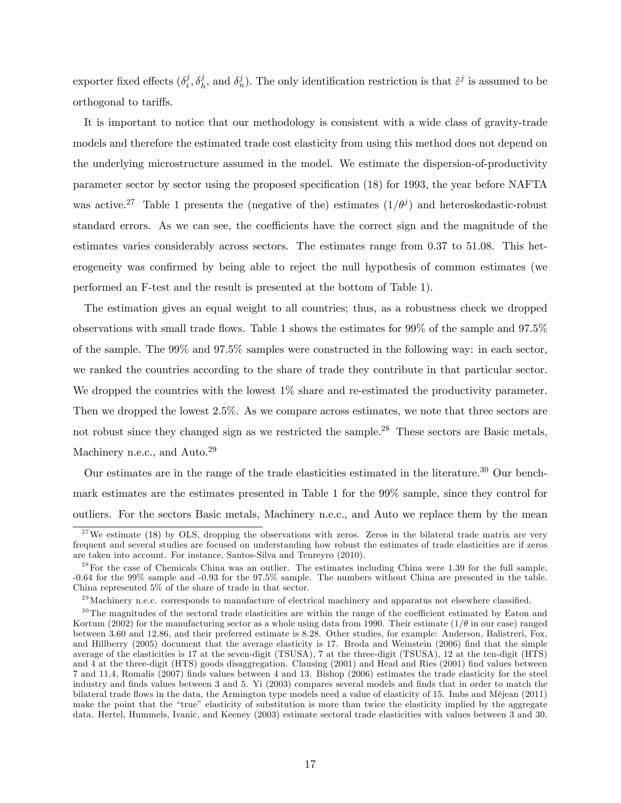exporter fixed effects  $(\delta_i^j)$  $i, \delta_h^j$ , and  $\delta_n^j$ ). The only identification restriction is that  $\tilde{\varepsilon}^j$  is assumed to be orthogonal to tariffs.

It is important to notice that our methodology is consistent with a wide class of gravity-trade models and therefore the estimated trade cost elasticity from using this method does not depend on the underlying microstructure assumed in the model. We estimate the dispersion-of-productivity parameter sector by sector using the proposed specification (18) for 1993, the year before NAFTA was active.<sup>27</sup> Table 1 presents the (negative of the) estimates  $(1/\theta^j)$  and heteroskedastic-robust standard errors. As we can see, the coefficients have the correct sign and the magnitude of the estimates varies considerably across sectors. The estimates range from 0.37 to 51.08. This heterogeneity was confirmed by being able to reject the null hypothesis of common estimates (we performed an F-test and the result is presented at the bottom of Table 1).

The estimation gives an equal weight to all countries; thus, as a robustness check we dropped observations with small trade flows. Table 1 shows the estimates for  $99\%$  of the sample and  $97.5\%$ of the sample. The 99% and 97.5% samples were constructed in the following way: in each sector, we ranked the countries according to the share of trade they contribute in that particular sector. We dropped the countries with the lowest  $1\%$  share and re-estimated the productivity parameter. Then we dropped the lowest 2.5%. As we compare across estimates, we note that three sectors are not robust since they changed sign as we restricted the sample.<sup>28</sup> These sectors are Basic metals, Machinery n.e.c., and Auto.<sup>29</sup>

Our estimates are in the range of the trade elasticities estimated in the literature.<sup>30</sup> Our benchmark estimates are the estimates presented in Table 1 for the 99% sample, since they control for outliers. For the sectors Basic metals, Machinery n.e.c., and Auto we replace them by the mean

 $27$ We estimate (18) by OLS, dropping the observations with zeros. Zeros in the bilateral trade matrix are very frequent and several studies are focused on understanding how robust the estimates of trade elasticities are if zeros are taken into account. For instance, Santos-Silva and Tenreyro (2010).

<sup>&</sup>lt;sup>28</sup>For the case of Chemicals China was an outlier. The estimates including China were 1.39 for the full sample, -0.64 for the 99% sample and -0.93 for the 97.5% sample. The numbers without China are presented in the table. China represented 5% of the share of trade in that sector.

 $^{29}$ Machinery n.e.c. corresponds to manufacture of electrical machinery and apparatus not elsewhere classified.

 $30$ The magnitudes of the sectoral trade elasticities are within the range of the coefficient estimated by Eaton and Kortum (2002) for the manufacturing sector as a whole using data from 1990. Their estimate  $(1/\theta$  in our case) ranged between 3.60 and 12.86, and their preferred estimate is 8.28. Other studies, for example: Anderson, Balistreri, Fox, and Hillberry (2005) document that the average elasticity is 17. Broda and Weinstein (2006) find that the simple average of the elasticities is 17 at the seven-digit (TSUSA), 7 at the three-digit (TSUSA), 12 at the ten-digit (HTS) and 4 at the three-digit (HTS) goods disaggregation. Clausing (2001) and Head and Ries (2001) find values between 7 and 11.4, Romalis (2007) Önds values between 4 and 13. Bishop (2006) estimates the trade elasticity for the steel industry and finds values between 3 and 5. Yi (2003) compares several models and finds that in order to match the bilateral trade flows in the data, the Armington type models need a value of elasticity of 15. Imbs and Méjean (2011) make the point that the "true" elasticity of substitution is more than twice the elasticity implied by the aggregate data. Hertel, Hummels, Ivanic, and Keeney (2003) estimate sectoral trade elasticities with values between 3 and 30.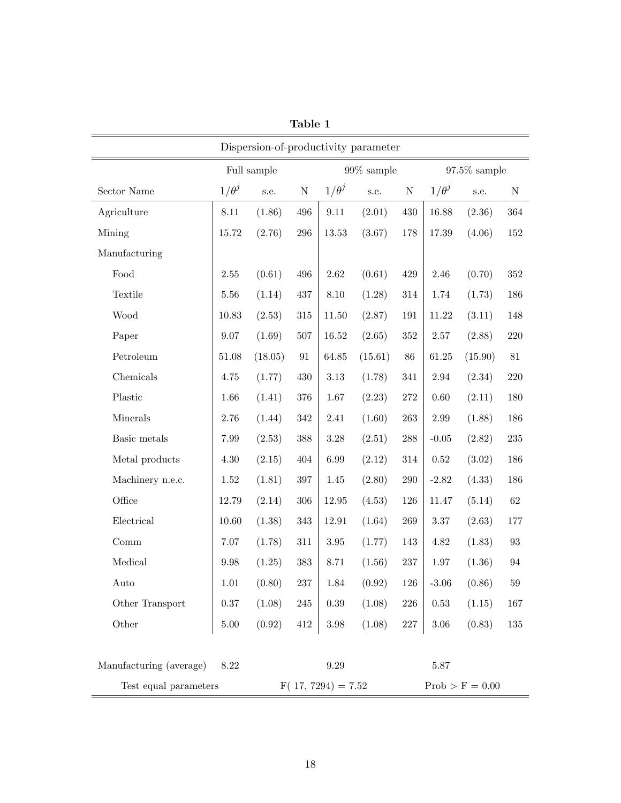| Dispersion-of-productivity parameter |                     |             |                      |               |         |                   |                 |         |                   |
|--------------------------------------|---------------------|-------------|----------------------|---------------|---------|-------------------|-----------------|---------|-------------------|
|                                      |                     | Full sample |                      | $99\%$ sample |         |                   | $97.5\%$ sample |         |                   |
| Sector Name                          | $1/\theta^j$        | s.e.        | ${\rm N}$            | $1/\theta^j$  | s.e.    | ${\rm N}$         | $1/\theta^j$    | s.e.    | ${\bf N}$         |
| Agriculture                          | $8.11\,$            | (1.86)      | 496                  | $\,9.11$      | (2.01)  | 430               | 16.88           | (2.36)  | $364\,$           |
| Mining                               | $15.72\,$           | (2.76)      | $\,296$              | $13.53\,$     | (3.67)  | 178               | 17.39           | (4.06)  | $152\,$           |
| Manufacturing                        |                     |             |                      |               |         |                   |                 |         |                   |
| Food                                 | $2.55\,$            | (0.61)      | 496                  | $2.62\,$      | (0.61)  | 429               | 2.46            | (0.70)  | $352\,$           |
| Textile                              | $5.56\,$            | (1.14)      | 437                  | 8.10          | (1.28)  | 314               | 1.74            | (1.73)  | 186               |
| Wood                                 | 10.83               | (2.53)      | 315                  | 11.50         | (2.87)  | 191               | 11.22           | (3.11)  | 148               |
| Paper                                | $9.07\,$            | (1.69)      | $507\,$              | $16.52\,$     | (2.65)  | $352\,$           | $2.57\,$        | (2.88)  | 220               |
| Petroleum                            | $51.08\,$           | (18.05)     | 91                   | $64.85\,$     | (15.61) | 86                | 61.25           | (15.90) | $81\,$            |
| Chemicals                            | 4.75                | (1.77)      | 430                  | $3.13\,$      | (1.78)  | 341               | $\;\:2.94$      | (2.34)  | 220               |
| Plastic                              | 1.66                | (1.41)      | 376                  | 1.67          | (2.23)  | 272               | $0.60\,$        | (2.11)  | 180               |
| Minerals                             | 2.76                | (1.44)      | 342                  | 2.41          | (1.60)  | 263               | $2.99\,$        | (1.88)  | 186               |
| Basic metals                         | 7.99                | (2.53)      | 388                  | $3.28\,$      | (2.51)  | 288               | $-0.05$         | (2.82)  | $235\,$           |
| Metal products                       | $4.30\,$            | (2.15)      | 404                  | 6.99          | (2.12)  | 314               | $0.52\,$        | (3.02)  | 186               |
| Machinery n.e.c.                     | $1.52\,$            | (1.81)      | $397\,$              | 1.45          | (2.80)  | 290               | $-2.82$         | (4.33)  | 186               |
| Office                               | 12.79               | (2.14)      | 306                  | $12.95\,$     | (4.53)  | 126               | 11.47           | (5.14)  | $62\,$            |
| Electrical                           | 10.60               | (1.38)      | 343                  | 12.91         | (1.64)  | 269               | $3.37\,$        | (2.63)  | 177               |
| $\operatorname{Comm}$                | $7.07\,$            | (1.78)      | 311                  | $3.95\,$      | (1.77)  | 143               | $4.82\,$        | (1.83)  | $\boldsymbol{93}$ |
| Medical                              | $\boldsymbol{9.98}$ | (1.25)      | 383                  | 8.71          | (1.56)  | 237               | $1.97\,$        | (1.36)  | $94\,$            |
| Auto                                 | $1.01\,$            | (0.80)      | 237                  | $1.84\,$      | (0.92)  | $126\,$           | $-3.06$         | (0.86)  | $59\,$            |
| Other Transport                      | 0.37                | (1.08)      | 245                  | 0.39          | (1.08)  | 226               | 0.53            | (1.15)  | 167               |
| Other                                | $5.00\,$            | (0.92)      | 412                  | $3.98\,$      | (1.08)  | 227               | $3.06\,$        | (0.83)  | 135               |
|                                      |                     |             |                      |               |         |                   |                 |         |                   |
| Manufacturing (average)              | 8.22                |             |                      | $9.29\,$      |         |                   | 5.87            |         |                   |
| Test equal parameters                |                     |             | $F(17, 7294) = 7.52$ |               |         | $Prob > F = 0.00$ |                 |         |                   |

Table 1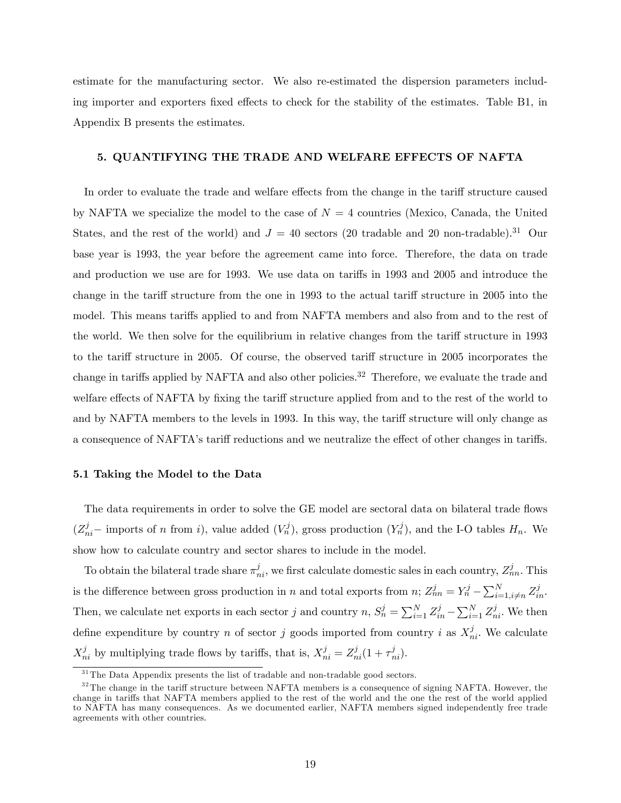estimate for the manufacturing sector. We also re-estimated the dispersion parameters including importer and exporters fixed effects to check for the stability of the estimates. Table B1, in Appendix B presents the estimates.

### 5. QUANTIFYING THE TRADE AND WELFARE EFFECTS OF NAFTA

In order to evaluate the trade and welfare effects from the change in the tariff structure caused by NAFTA we specialize the model to the case of  $N = 4$  countries (Mexico, Canada, the United States, and the rest of the world) and  $J = 40$  sectors (20 tradable and 20 non-tradable).<sup>31</sup> Our base year is 1993, the year before the agreement came into force. Therefore, the data on trade and production we use are for 1993. We use data on tariffs in 1993 and 2005 and introduce the change in the tariff structure from the one in 1993 to the actual tariff structure in 2005 into the model. This means tariffs applied to and from NAFTA members and also from and to the rest of the world. We then solve for the equilibrium in relative changes from the tariff structure in 1993 to the tariff structure in 2005. Of course, the observed tariff structure in 2005 incorporates the change in tariffs applied by NAFTA and also other policies.<sup>32</sup> Therefore, we evaluate the trade and welfare effects of NAFTA by fixing the tariff structure applied from and to the rest of the world to and by NAFTA members to the levels in 1993. In this way, the tariff structure will only change as a consequence of NAFTA's tariff reductions and we neutralize the effect of other changes in tariffs.

### 5.1 Taking the Model to the Data

The data requirements in order to solve the GE model are sectoral data on bilateral trade flows  $(Z_{ni}^j$  – imports of n from i), value added  $(V_n^j)$ , gross production  $(Y_n^j)$ , and the I-O tables  $H_n$ . We show how to calculate country and sector shares to include in the model.

To obtain the bilateral trade share  $\pi_{ni}^j$ , we first calculate domestic sales in each country,  $Z_{nn}^j$ . This is the difference between gross production in n and total exports from n;  $Z_{nn}^j = Y_n^j - \sum_{i=1, i \neq n}^N Z_{in}^j$ . Then, we calculate net exports in each sector j and country  $n, S_n^j = \sum_{i=1}^N Z_{in}^j - \sum_{i=1}^N Z_{ni}^j$ . We then define expenditure by country n of sector j goods imported from country i as  $X_{ni}^j$ . We calculate  $X_{ni}^{j}$  by multiplying trade flows by tariffs, that is,  $X_{ni}^{j} = Z_{ni}^{j}(1 + \tau_{ni}^{j}).$ 

 $31$ The Data Appendix presents the list of tradable and non-tradable good sectors.

 $32$ The change in the tariff structure between NAFTA members is a consequence of signing NAFTA. However, the change in tariffs that NAFTA members applied to the rest of the world and the one the rest of the world applied to NAFTA has many consequences. As we documented earlier, NAFTA members signed independently free trade agreements with other countries.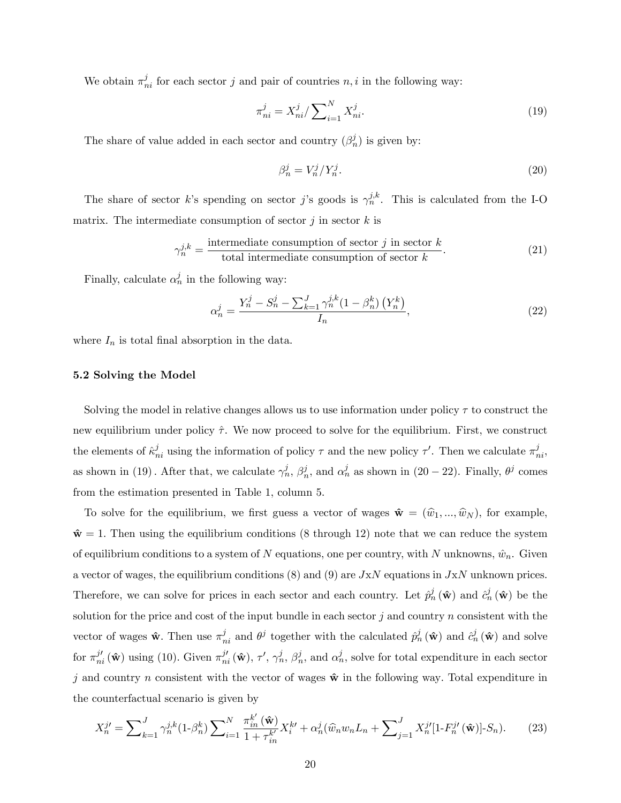We obtain  $\pi_{ni}^j$  for each sector j and pair of countries  $n, i$  in the following way:

$$
\pi_{ni}^j = X_{ni}^j / \sum_{i=1}^N X_{ni}^j.
$$
\n(19)

The share of value added in each sector and country  $(\beta_n^j)$  is given by:

$$
\beta_n^j = V_n^j / Y_n^j. \tag{20}
$$

The share of sector k's spending on sector j's goods is  $\gamma_n^{j,k}$ . This is calculated from the I-O matrix. The intermediate consumption of sector  $j$  in sector  $k$  is

$$
\gamma_n^{j,k} = \frac{\text{intermediate consumption of sector } j \text{ in sector } k}{\text{total intermediate consumption of sector } k}.
$$
\n(21)

Finally, calculate  $\alpha_n^j$  in the following way:

$$
\alpha_n^j = \frac{Y_n^j - S_n^j - \sum_{k=1}^J \gamma_n^{j,k} (1 - \beta_n^k) (Y_n^k)}{I_n},\tag{22}
$$

where  $I_n$  is total final absorption in the data.

### 5.2 Solving the Model

Solving the model in relative changes allows us to use information under policy  $\tau$  to construct the new equilibrium under policy  $\hat{\tau}$ . We now proceed to solve for the equilibrium. First, we construct the elements of  $\hat{\kappa}^j_{ni}$  using the information of policy  $\tau$  and the new policy  $\tau'$ . Then we calculate  $\pi^j_{ni}$ , as shown in (19). After that, we calculate  $\gamma_n^j$ ,  $\beta_n^j$ , and  $\alpha_n^j$  as shown in (20 – 22). Finally,  $\theta^j$  comes from the estimation presented in Table 1, column 5.

To solve for the equilibrium, we first guess a vector of wages  $\hat{\mathbf{w}} = (\hat{w}_1, ..., \hat{w}_N)$ , for example,  $\hat{\mathbf{w}} = 1.$  Then using the equilibrium conditions (8 through 12) note that we can reduce the system of equilibrium conditions to a system of N equations, one per country, with N unknowns,  $\hat{w}_n$ . Given a vector of wages, the equilibrium conditions (8) and (9) are  $JxN$  equations in  $JxN$  unknown prices. Therefore, we can solve for prices in each sector and each country. Let  $\hat{p}_n^j(\hat{\mathbf{w}})$  and  $\hat{c}_n^j(\hat{\mathbf{w}})$  be the solution for the price and cost of the input bundle in each sector  $j$  and country  $n$  consistent with the vector of wages  $\hat{\mathbf{w}}$ . Then use  $\pi_{ni}^j$  and  $\theta^j$  together with the calculated  $\hat{p}_n^j(\hat{\mathbf{w}})$  and  $\hat{c}_n^j(\hat{\mathbf{w}})$  and solve for  $\pi_{ni}^{j'}(\hat{\mathbf{w}})$  using (10). Given  $\pi_{ni}^{j'}(\hat{\mathbf{w}})$ ,  $\tau'$ ,  $\gamma_n^j$ ,  $\beta_n^j$ , and  $\alpha_n^j$ , solve for total expenditure in each sector j and country n consistent with the vector of wages  $\hat{\mathbf{w}}$  in the following way. Total expenditure in the counterfactual scenario is given by

$$
X_n^{j\prime} = \sum_{k=1}^J \gamma_n^{j,k} (1 - \beta_n^k) \sum_{i=1}^N \frac{\pi_{in}^{k'}(\hat{\mathbf{w}})}{1 + \tau_{in}^{k'}} X_i^{k\prime} + \alpha_n^j (\hat{w}_n w_n L_n + \sum_{j=1}^J X_n^{j\prime} [1 - F_n^{j\prime}(\hat{\mathbf{w}})] - S_n). \tag{23}
$$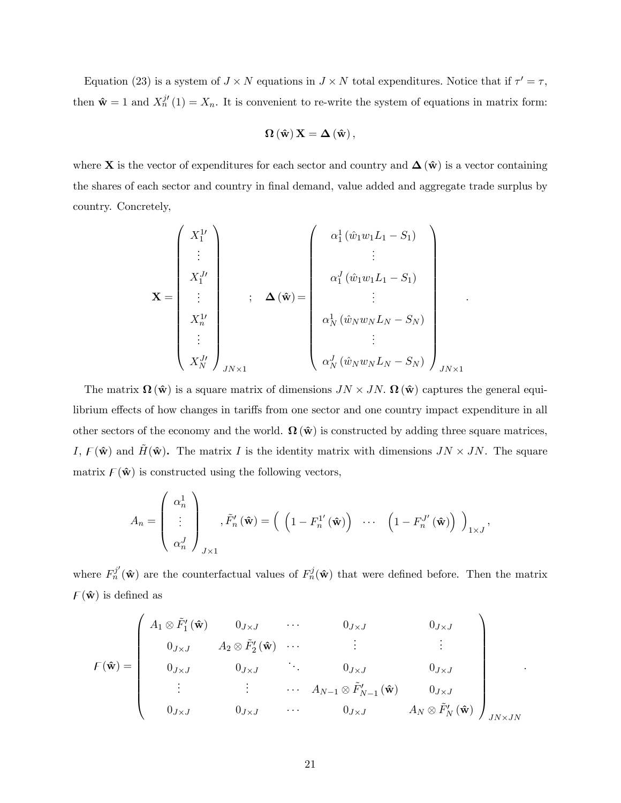Equation (23) is a system of  $J \times N$  equations in  $J \times N$  total expenditures. Notice that if  $\tau' = \tau$ , then  $\hat{\mathbf{w}} = 1$  and  $X_n^{j'}(1) = X_n$ . It is convenient to re-write the system of equations in matrix form:

$$
\Omega\left( \hat{\mathbf{w}}\right) \mathbf{X}=\Delta\left( \hat{\mathbf{w}}\right) ,
$$

where **X** is the vector of expenditures for each sector and country and  $\Delta(\hat{\mathbf{w}})$  is a vector containing the shares of each sector and country in final demand, value added and aggregate trade surplus by country. Concretely,

$$
\mathbf{X} = \begin{pmatrix} X_1^{1\prime} \\ \vdots \\ X_j^{J\prime} \\ \vdots \\ X_n^{1\prime} \\ \vdots \\ X_N^{J\prime} \end{pmatrix}_{JN\times 1} ; \quad \Delta (\hat{\mathbf{w}}) = \begin{pmatrix} \alpha_1^1 (\hat{w}_1 w_1 L_1 - S_1) \\ \vdots \\ \alpha_1^J (\hat{w}_1 w_1 L_1 - S_1) \\ \vdots \\ \alpha_N^J (\hat{w}_N w_N L_N - S_N) \\ \vdots \\ \alpha_N^J (\hat{w}_N w_N L_N - S_N) \end{pmatrix}_{JN\times 1}
$$

:

The matrix  $\mathbf{\Omega}(\hat{\mathbf{w}})$  is a square matrix of dimensions  $JN \times JN$ .  $\mathbf{\Omega}(\hat{\mathbf{w}})$  captures the general equilibrium effects of how changes in tariffs from one sector and one country impact expenditure in all other sectors of the economy and the world.  $\Omega(\hat{\mathbf{w}})$  is constructed by adding three square matrices, I,  $F(\hat{\mathbf{w}})$  and  $\tilde{H}(\hat{\mathbf{w}})$ . The matrix I is the identity matrix with dimensions  $JN \times JN$ . The square matrix  $F(\hat{\mathbf{w}})$  is constructed using the following vectors,

$$
A_n = \begin{pmatrix} \alpha_n^1 \\ \vdots \\ \alpha_n^J \end{pmatrix}_{J \times 1}, \tilde{F}_n'(\hat{\mathbf{w}}) = \begin{pmatrix} \left(1 - F_n^{1'}(\hat{\mathbf{w}})\right) & \cdots & \left(1 - F_n^{J'}(\hat{\mathbf{w}})\right) \end{pmatrix}_{1 \times J},
$$

where  $F_n^{j'}(\hat{\mathbf{w}})$  are the counterfactual values of  $F_n^j(\hat{\mathbf{w}})$  that were defined before. Then the matrix  $\mathcal{F}(\hat{\mathbf{w}})$  is defined as

$$
F(\hat{\mathbf{w}}) = \begin{pmatrix} A_1 \otimes \tilde{F}_1'(\hat{\mathbf{w}}) & 0_{J \times J} & \cdots & 0_{J \times J} & 0_{J \times J} \\ 0_{J \times J} & A_2 \otimes \tilde{F}_2'(\hat{\mathbf{w}}) & \cdots & \vdots & \vdots \\ 0_{J \times J} & 0_{J \times J} & \ddots & 0_{J \times J} & 0_{J \times J} \\ \vdots & \vdots & \cdots & A_{N-1} \otimes \tilde{F}_{N-1}'(\hat{\mathbf{w}}) & 0_{J \times J} \\ 0_{J \times J} & 0_{J \times J} & \cdots & 0_{J \times J} & A_N \otimes \tilde{F}_N'(\hat{\mathbf{w}}) \end{pmatrix}_{JN \times JN}.
$$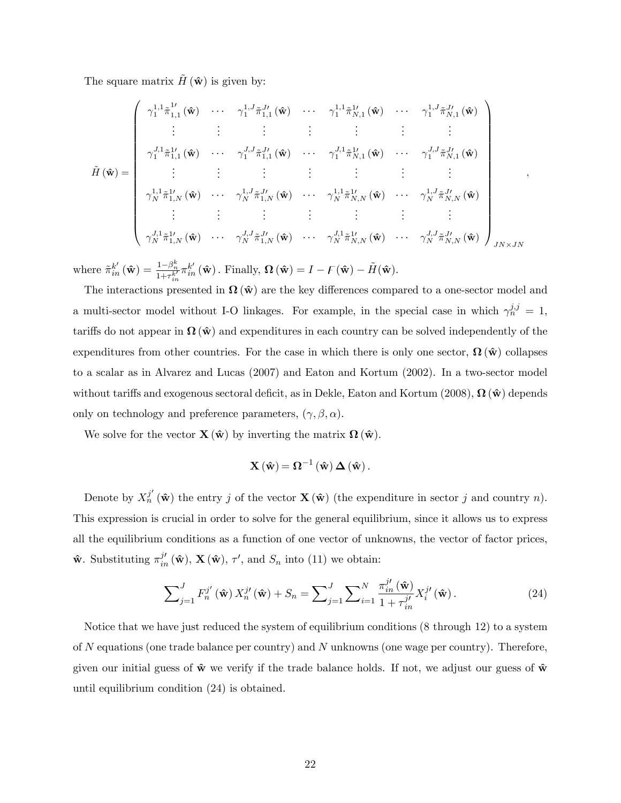The square matrix  $H(\hat{\mathbf{w}})$  is given by:

$$
\tilde{H}(\hat{\mathbf{w}}) = \begin{pmatrix}\n\gamma_{1}^{1,1} \tilde{\pi}_{1,1}^{1\prime} (\hat{\mathbf{w}}) & \cdots & \gamma_{1}^{1,J} \tilde{\pi}_{1,1}^{J\prime} (\hat{\mathbf{w}}) & \cdots & \gamma_{1}^{1,1} \tilde{\pi}_{N,1}^{1\prime} (\hat{\mathbf{w}}) & \cdots & \gamma_{1}^{1,J} \tilde{\pi}_{N,1}^{J\prime} (\hat{\mathbf{w}}) \\
\vdots & \vdots & \vdots & \vdots & \vdots & \vdots \\
\gamma_{1}^{J,1} \tilde{\pi}_{1,1}^{1\prime} (\hat{\mathbf{w}}) & \cdots & \gamma_{1}^{J,J} \tilde{\pi}_{1,1}^{J\prime} (\hat{\mathbf{w}}) & \cdots & \gamma_{1}^{J,1} \tilde{\pi}_{N,1}^{1\prime} (\hat{\mathbf{w}}) & \cdots & \gamma_{1}^{J,J} \tilde{\pi}_{N,1}^{J\prime} (\hat{\mathbf{w}}) \\
\vdots & \vdots & \vdots & \vdots & \vdots & \vdots \\
\gamma_{N}^{1,1} \tilde{\pi}_{1,N}^{1\prime} (\hat{\mathbf{w}}) & \cdots & \gamma_{N}^{1,J} \tilde{\pi}_{1,N}^{J\prime} (\hat{\mathbf{w}}) & \cdots & \gamma_{N}^{1,1} \tilde{\pi}_{N,N}^{1\prime} (\hat{\mathbf{w}}) & \cdots & \gamma_{N}^{1,J} \tilde{\pi}_{N,N}^{J\prime} (\hat{\mathbf{w}}) \\
\vdots & \vdots & \vdots & \vdots & \vdots & \vdots \\
\gamma_{N}^{J,1} \tilde{\pi}_{1,N}^{1\prime} (\hat{\mathbf{w}}) & \cdots & \gamma_{N}^{J,J} \tilde{\pi}_{1,N}^{J\prime} (\hat{\mathbf{w}}) & \cdots & \gamma_{N}^{J,1} \tilde{\pi}_{N,N}^{1\prime} (\hat{\mathbf{w}}) & \cdots & \gamma_{N}^{J,J} \tilde{\pi}_{N,N}^{J\prime} (\hat{\mathbf{w}})\n\end{pmatrix}_{JN \times JN}
$$

;

where  $\tilde{\pi}_{in}^{k'}(\hat{\mathbf{w}}) = \frac{1-\beta_n^k}{1+\tau_{in}^{k'}}\pi_{in}^{k'}(\hat{\mathbf{w}})$ . Finally,  $\mathbf{\Omega}(\hat{\mathbf{w}}) = I - \mathbf{\Gamma}(\hat{\mathbf{w}}) - \tilde{H}(\hat{\mathbf{w}})$ .

The interactions presented in  $\Omega(\hat{w})$  are the key differences compared to a one-sector model and a multi-sector model without I-O linkages. For example, in the special case in which  $\gamma_n^{j,j} = 1$ , tariffs do not appear in  $\Omega(\hat{\mathbf{w}})$  and expenditures in each country can be solved independently of the expenditures from other countries. For the case in which there is only one sector,  $\Omega(\hat{\mathbf{w}})$  collapses to a scalar as in Alvarez and Lucas (2007) and Eaton and Kortum (2002). In a two-sector model without tariffs and exogenous sectoral deficit, as in Dekle, Eaton and Kortum (2008),  $\bm{\Omega}\left(\hat{\mathbf{w}}\right)$  depends only on technology and preference parameters,  $(\gamma, \beta, \alpha)$ .

We solve for the vector  $\mathbf{X}(\hat{\mathbf{w}})$  by inverting the matrix  $\mathbf{\Omega}(\hat{\mathbf{w}})$ .

$$
\mathbf{X}\left( \mathbf{\hat{w}}\right) =\mathbf{\Omega}^{-1}\left( \mathbf{\hat{w}}\right) \mathbf{\Delta}\left( \mathbf{\hat{w}}\right) .
$$

Denote by  $X_n^{j'}(\hat{\mathbf{w}})$  the entry j of the vector  $\mathbf{X} (\hat{\mathbf{w}})$  (the expenditure in sector j and country n). This expression is crucial in order to solve for the general equilibrium, since it allows us to express all the equilibrium conditions as a function of one vector of unknowns, the vector of factor prices,  $\hat{\mathbf{w}}$ . Substituting  $\pi_{in}^{j'}(\hat{\mathbf{w}})$ ,  $\mathbf{X}(\hat{\mathbf{w}})$ ,  $\tau'$ , and  $S_n$  into (11) we obtain:

$$
\sum_{j=1}^{J} F_n^{j'}(\hat{\mathbf{w}}) X_n^{j'}(\hat{\mathbf{w}}) + S_n = \sum_{j=1}^{J} \sum_{i=1}^{N} \frac{\pi_{in}^{j'}(\hat{\mathbf{w}})}{1 + \tau_{in}^{j'}} X_i^{j'}(\hat{\mathbf{w}}).
$$
(24)

Notice that we have just reduced the system of equilibrium conditions (8 through 12) to a system of N equations (one trade balance per country) and N unknowns (one wage per country). Therefore, given our initial guess of  $\hat{\mathbf{w}}$  we verify if the trade balance holds. If not, we adjust our guess of  $\hat{\mathbf{w}}$ until equilibrium condition (24) is obtained.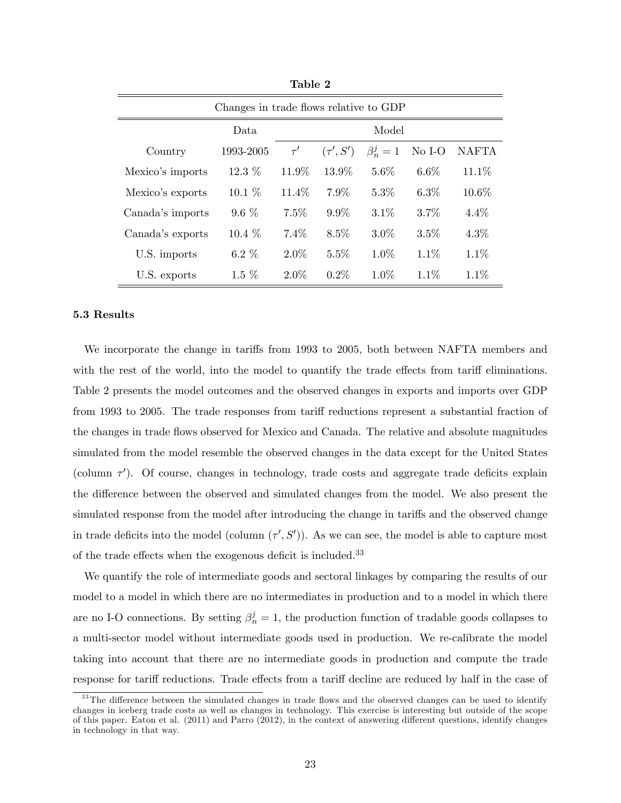| Changes in trade flows relative to GDP |           |          |              |               |          |              |  |  |  |
|----------------------------------------|-----------|----------|--------------|---------------|----------|--------------|--|--|--|
|                                        | Data.     | Model    |              |               |          |              |  |  |  |
| Country                                | 1993-2005 | $\tau'$  | $(\tau',S')$ | $\beta_n^j=1$ | $No$ I-O | <b>NAFTA</b> |  |  |  |
| Mexico's imports                       | $12.3\%$  | 11.9%    | $13.9\%$     | $5.6\%$       | $6.6\%$  | 11.1%        |  |  |  |
| Mexico's exports                       | $10.1\%$  | $11.4\%$ | $7.9\%$      | $5.3\%$       | $6.3\%$  | $10.6\%$     |  |  |  |
| Canada's imports                       | $9.6\%$   | $7.5\%$  | $9.9\%$      | $3.1\%$       | $3.7\%$  | $4.4\%$      |  |  |  |
| Canada's exports                       | $10.4\%$  | $7.4\%$  | $8.5\%$      | $3.0\%$       | $3.5\%$  | $4.3\%$      |  |  |  |
| U.S. imports                           | $6.2\%$   | $2.0\%$  | $5.5\%$      | $1.0\%$       | $1.1\%$  | $1.1\%$      |  |  |  |
| U.S. exports                           | $1.5\%$   | $2.0\%$  | $0.2\%$      | $1.0\%$       | $1.1\%$  | $1.1\%$      |  |  |  |

Table 2

### 5.3 Results

We incorporate the change in tariffs from 1993 to 2005, both between NAFTA members and with the rest of the world, into the model to quantify the trade effects from tariff eliminations. Table 2 presents the model outcomes and the observed changes in exports and imports over GDP from 1993 to 2005. The trade responses from tariff reductions represent a substantial fraction of the changes in trade áows observed for Mexico and Canada. The relative and absolute magnitudes simulated from the model resemble the observed changes in the data except for the United States (column  $\tau'$ ). Of course, changes in technology, trade costs and aggregate trade deficits explain the difference between the observed and simulated changes from the model. We also present the simulated response from the model after introducing the change in tariffs and the observed change in trade deficits into the model (column  $(\tau', S')$ ). As we can see, the model is able to capture most of the trade effects when the exogenous deficit is included.<sup>33</sup>

We quantify the role of intermediate goods and sectoral linkages by comparing the results of our model to a model in which there are no intermediates in production and to a model in which there are no I-O connections. By setting  $\beta_n^j = 1$ , the production function of tradable goods collapses to a multi-sector model without intermediate goods used in production. We re-calibrate the model taking into account that there are no intermediate goods in production and compute the trade response for tariff reductions. Trade effects from a tariff decline are reduced by half in the case of

 $33$ The difference between the simulated changes in trade flows and the observed changes can be used to identify changes in iceberg trade costs as well as changes in technology. This exercise is interesting but outside of the scope of this paper. Eaton et al. (2011) and Parro (2012), in the context of answering different questions, identify changes in technology in that way.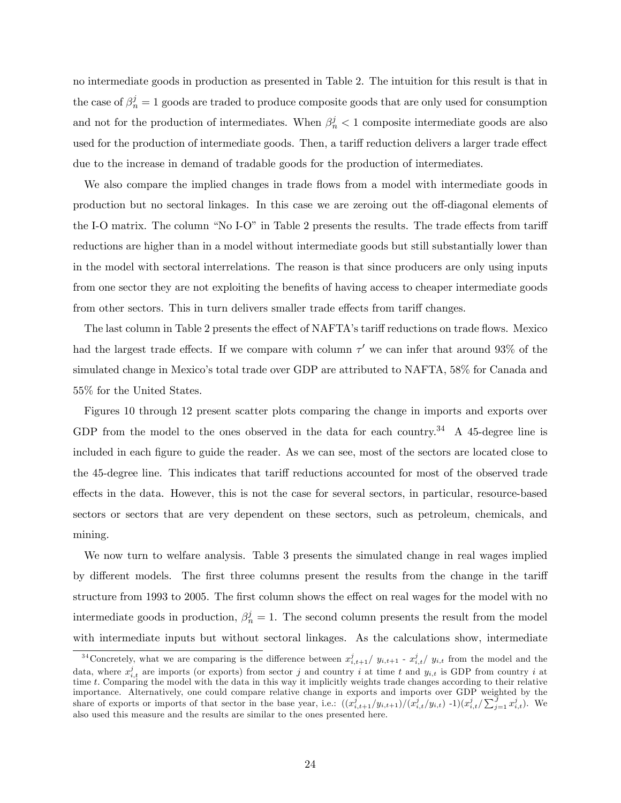no intermediate goods in production as presented in Table 2. The intuition for this result is that in the case of  $\beta_n^j = 1$  goods are traded to produce composite goods that are only used for consumption and not for the production of intermediates. When  $\beta_n^j < 1$  composite intermediate goods are also used for the production of intermediate goods. Then, a tariff reduction delivers a larger trade effect due to the increase in demand of tradable goods for the production of intermediates.

We also compare the implied changes in trade flows from a model with intermediate goods in production but no sectoral linkages. In this case we are zeroing out the off-diagonal elements of the I-O matrix. The column "No I-O" in Table 2 presents the results. The trade effects from tariff reductions are higher than in a model without intermediate goods but still substantially lower than in the model with sectoral interrelations. The reason is that since producers are only using inputs from one sector they are not exploiting the benefits of having access to cheaper intermediate goods from other sectors. This in turn delivers smaller trade effects from tariff changes.

The last column in Table 2 presents the effect of NAFTA's tariff reductions on trade flows. Mexico had the largest trade effects. If we compare with column  $\tau'$  we can infer that around 93% of the simulated change in Mexico's total trade over GDP are attributed to NAFTA, 58% for Canada and 55% for the United States.

Figures 10 through 12 present scatter plots comparing the change in imports and exports over GDP from the model to the ones observed in the data for each country.<sup>34</sup> A 45-degree line is included in each Ögure to guide the reader. As we can see, most of the sectors are located close to the 45-degree line. This indicates that tariff reductions accounted for most of the observed trade effects in the data. However, this is not the case for several sectors, in particular, resource-based sectors or sectors that are very dependent on these sectors, such as petroleum, chemicals, and mining.

We now turn to welfare analysis. Table 3 presents the simulated change in real wages implied by different models. The first three columns present the results from the change in the tariff structure from 1993 to 2005. The first column shows the effect on real wages for the model with no intermediate goods in production,  $\beta_n^j = 1$ . The second column presents the result from the model with intermediate inputs but without sectoral linkages. As the calculations show, intermediate

<sup>&</sup>lt;sup>34</sup>Concretely, what we are comparing is the difference between  $x_{i,t+1}^j / y_{i,t+1} - x_{i,t}^j / y_{i,t}$  from the model and the data, where  $x_{i,t}^j$  are imports (or exports) from sector j and country i at time t and  $y_{i,t}$  is GDP from country i at time t: Comparing the model with the data in this way it implicitly weights trade changes according to their relative importance. Alternatively, one could compare relative change in exports and imports over GDP weighted by the share of exports or imports of that sector in the base year, i.e.:  $((x_{i,t+1}^j/y_{i,t+1})/(x_{i,t}^j/y_{i,t}) - 1)(x_{i,t}^j/\sum_{j=1}^J x_{i,t}^j)$ . We also used this measure and the results are similar to the ones presented here.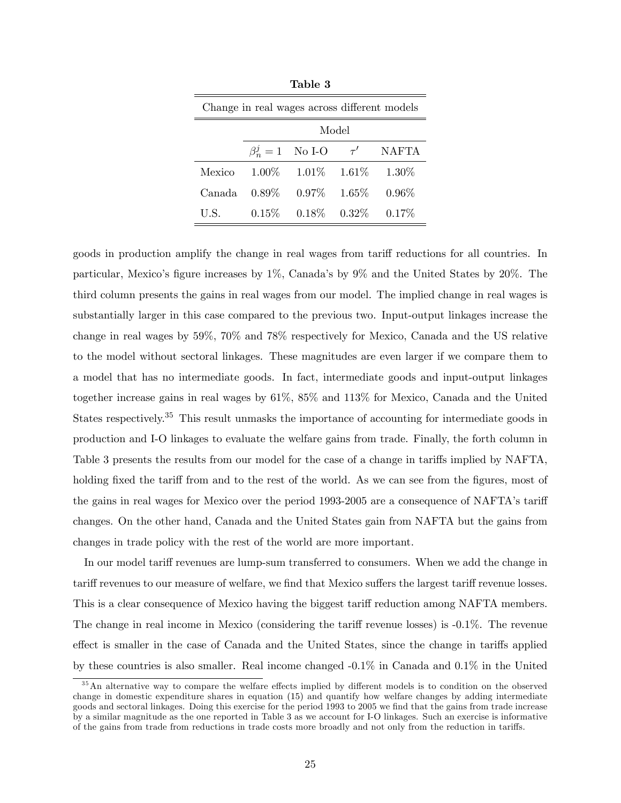| Change in real wages across different models |          |                                     |                            |                                      |  |  |  |  |
|----------------------------------------------|----------|-------------------------------------|----------------------------|--------------------------------------|--|--|--|--|
|                                              | Model    |                                     |                            |                                      |  |  |  |  |
|                                              |          |                                     |                            | $\beta_n^j = 1$ No I-O $\tau'$ NAFTA |  |  |  |  |
| Mexico                                       |          | $1.00\%$ $1.01\%$ $1.61\%$ $1.30\%$ |                            |                                      |  |  |  |  |
| Canada.                                      | $0.89\%$ |                                     | $0.97\%$ $1.65\%$ $0.96\%$ |                                      |  |  |  |  |
| U.S.                                         |          | $0.15\%$ $0.18\%$ $0.32\%$ $0.17\%$ |                            |                                      |  |  |  |  |

Table 3

goods in production amplify the change in real wages from tariff reductions for all countries. In particular, Mexico's figure increases by  $1\%$ , Canada's by  $9\%$  and the United States by  $20\%$ . The third column presents the gains in real wages from our model. The implied change in real wages is substantially larger in this case compared to the previous two. Input-output linkages increase the change in real wages by 59%, 70% and 78% respectively for Mexico, Canada and the US relative to the model without sectoral linkages. These magnitudes are even larger if we compare them to a model that has no intermediate goods. In fact, intermediate goods and input-output linkages together increase gains in real wages by 61%, 85% and 113% for Mexico, Canada and the United States respectively.<sup>35</sup> This result unmasks the importance of accounting for intermediate goods in production and I-O linkages to evaluate the welfare gains from trade. Finally, the forth column in Table 3 presents the results from our model for the case of a change in tariffs implied by NAFTA, holding fixed the tariff from and to the rest of the world. As we can see from the figures, most of the gains in real wages for Mexico over the period 1993-2005 are a consequence of NAFTA's tariff changes. On the other hand, Canada and the United States gain from NAFTA but the gains from changes in trade policy with the rest of the world are more important.

In our model tariff revenues are lump-sum transferred to consumers. When we add the change in tariff revenues to our measure of welfare, we find that Mexico suffers the largest tariff revenue losses. This is a clear consequence of Mexico having the biggest tariff reduction among NAFTA members. The change in real income in Mexico (considering the tariff revenue losses) is  $-0.1\%$ . The revenue effect is smaller in the case of Canada and the United States, since the change in tariffs applied by these countries is also smaller. Real income changed -0.1% in Canada and 0.1% in the United

 $35$ An alternative way to compare the welfare effects implied by different models is to condition on the observed change in domestic expenditure shares in equation (15) and quantify how welfare changes by adding intermediate goods and sectoral linkages. Doing this exercise for the period 1993 to 2005 we find that the gains from trade increase by a similar magnitude as the one reported in Table 3 as we account for I-O linkages. Such an exercise is informative of the gains from trade from reductions in trade costs more broadly and not only from the reduction in tariffs.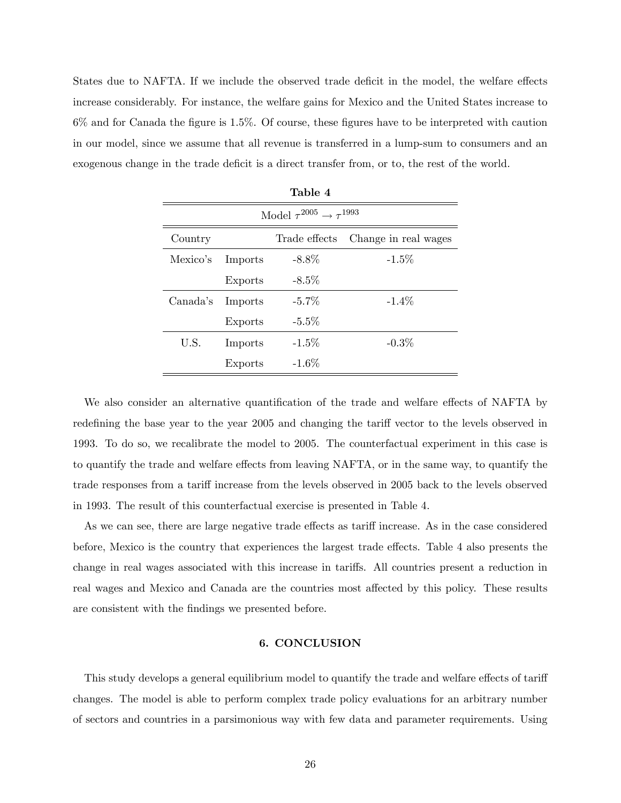States due to NAFTA. If we include the observed trade deficit in the model, the welfare effects increase considerably. For instance, the welfare gains for Mexico and the United States increase to  $6\%$  and for Canada the figure is 1.5%. Of course, these figures have to be interpreted with caution in our model, since we assume that all revenue is transferred in a lump-sum to consumers and an exogenous change in the trade deficit is a direct transfer from, or to, the rest of the world.

| тапіе 4                           |         |               |                      |  |  |  |  |  |  |
|-----------------------------------|---------|---------------|----------------------|--|--|--|--|--|--|
| Model $\tau^{2005}\to\tau^{1993}$ |         |               |                      |  |  |  |  |  |  |
| Country                           |         | Trade effects | Change in real wages |  |  |  |  |  |  |
| Mexico's                          | Imports | $-8.8\%$      | $-1.5\%$             |  |  |  |  |  |  |
|                                   | Exports | $-8.5\%$      |                      |  |  |  |  |  |  |
| Canada's                          | Imports | $-5.7\%$      | $-1.4\%$             |  |  |  |  |  |  |
|                                   | Exports | $-5.5\%$      |                      |  |  |  |  |  |  |
| U.S.                              | Imports | $-1.5\%$      | $-0.3\%$             |  |  |  |  |  |  |
|                                   | Exports | $-1.6\%$      |                      |  |  |  |  |  |  |

Table 4

We also consider an alternative quantification of the trade and welfare effects of NAFTA by redefining the base year to the year 2005 and changing the tariff vector to the levels observed in 1993. To do so, we recalibrate the model to 2005. The counterfactual experiment in this case is to quantify the trade and welfare effects from leaving NAFTA, or in the same way, to quantify the trade responses from a tariff increase from the levels observed in 2005 back to the levels observed in 1993. The result of this counterfactual exercise is presented in Table 4.

As we can see, there are large negative trade effects as tariff increase. As in the case considered before, Mexico is the country that experiences the largest trade effects. Table 4 also presents the change in real wages associated with this increase in tariffs. All countries present a reduction in real wages and Mexico and Canada are the countries most affected by this policy. These results are consistent with the findings we presented before.

# 6. CONCLUSION

This study develops a general equilibrium model to quantify the trade and welfare effects of tariff changes. The model is able to perform complex trade policy evaluations for an arbitrary number of sectors and countries in a parsimonious way with few data and parameter requirements. Using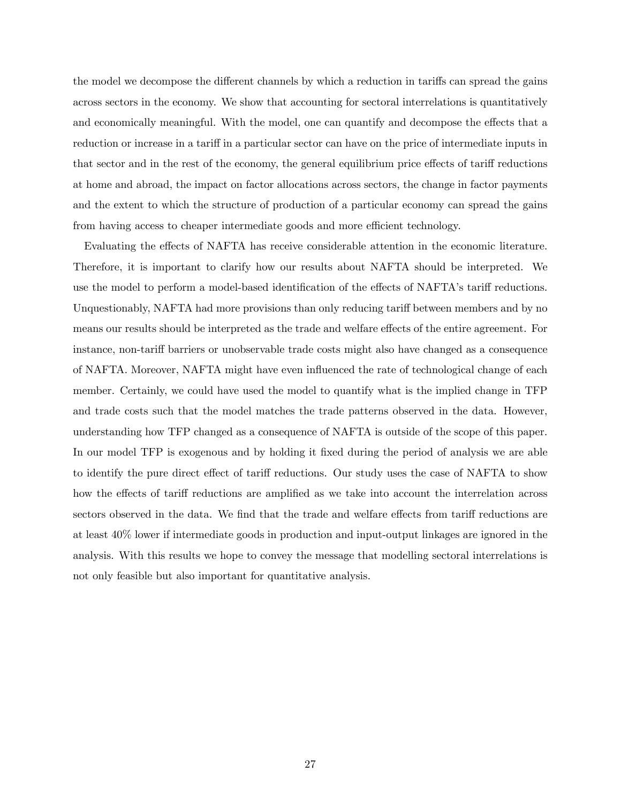the model we decompose the different channels by which a reduction in tariffs can spread the gains across sectors in the economy. We show that accounting for sectoral interrelations is quantitatively and economically meaningful. With the model, one can quantify and decompose the effects that a reduction or increase in a tariff in a particular sector can have on the price of intermediate inputs in that sector and in the rest of the economy, the general equilibrium price effects of tariff reductions at home and abroad, the impact on factor allocations across sectors, the change in factor payments and the extent to which the structure of production of a particular economy can spread the gains from having access to cheaper intermediate goods and more efficient technology.

Evaluating the effects of NAFTA has receive considerable attention in the economic literature. Therefore, it is important to clarify how our results about NAFTA should be interpreted. We use the model to perform a model-based identification of the effects of NAFTA's tariff reductions. Unquestionably, NAFTA had more provisions than only reducing tariff between members and by no means our results should be interpreted as the trade and welfare effects of the entire agreement. For instance, non-tariff barriers or unobservable trade costs might also have changed as a consequence of NAFTA. Moreover, NAFTA might have even influenced the rate of technological change of each member. Certainly, we could have used the model to quantify what is the implied change in TFP and trade costs such that the model matches the trade patterns observed in the data. However, understanding how TFP changed as a consequence of NAFTA is outside of the scope of this paper. In our model TFP is exogenous and by holding it fixed during the period of analysis we are able to identify the pure direct effect of tariff reductions. Our study uses the case of NAFTA to show how the effects of tariff reductions are amplified as we take into account the interrelation across sectors observed in the data. We find that the trade and welfare effects from tariff reductions are at least 40% lower if intermediate goods in production and input-output linkages are ignored in the analysis. With this results we hope to convey the message that modelling sectoral interrelations is not only feasible but also important for quantitative analysis.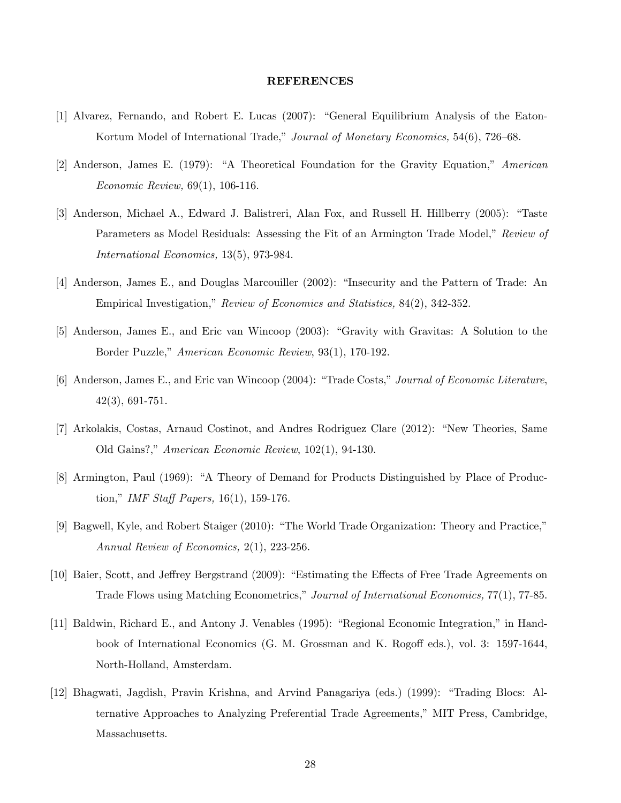#### REFERENCES

- [1] Alvarez, Fernando, and Robert E. Lucas (2007): "General Equilibrium Analysis of the Eaton-Kortum Model of International Trade," Journal of Monetary Economics, 54(6), 726–68.
- [2] Anderson, James E. (1979): "A Theoretical Foundation for the Gravity Equation," American Economic Review, 69(1), 106-116.
- [3] Anderson, Michael A., Edward J. Balistreri, Alan Fox, and Russell H. Hillberry (2005): "Taste Parameters as Model Residuals: Assessing the Fit of an Armington Trade Model," Review of International Economics, 13(5), 973-984.
- [4] Anderson, James E., and Douglas Marcouiller (2002): "Insecurity and the Pattern of Trade: An Empirical Investigation," Review of Economics and Statistics, 84(2), 342-352.
- [5] Anderson, James E., and Eric van Wincoop (2003): "Gravity with Gravitas: A Solution to the Border Puzzle," American Economic Review, 93(1), 170-192.
- [6] Anderson, James E., and Eric van Wincoop (2004): "Trade Costs," Journal of Economic Literature, 42(3), 691-751.
- [7] Arkolakis, Costas, Arnaud Costinot, and Andres Rodriguez Clare (2012): "New Theories, Same Old Gains?," American Economic Review,  $102(1)$ , 94-130.
- [8] Armington, Paul (1969): "A Theory of Demand for Products Distinguished by Place of Production," IMF Staff Papers,  $16(1)$ , 159-176.
- [9] Bagwell, Kyle, and Robert Staiger (2010): "The World Trade Organization: Theory and Practice," Annual Review of Economics, 2(1), 223-256.
- [10] Baier, Scott, and Jeffrey Bergstrand (2009): "Estimating the Effects of Free Trade Agreements on Trade Flows using Matching Econometrics," Journal of International Economics, 77(1), 77-85.
- [11] Baldwin, Richard E., and Antony J. Venables (1995): "Regional Economic Integration," in Handbook of International Economics (G. M. Grossman and K. Rogoff eds.), vol. 3: 1597-1644, North-Holland, Amsterdam.
- [12] Bhagwati, Jagdish, Pravin Krishna, and Arvind Panagariya (eds.) (1999): "Trading Blocs: Alternative Approaches to Analyzing Preferential Trade Agreements," MIT Press, Cambridge, Massachusetts.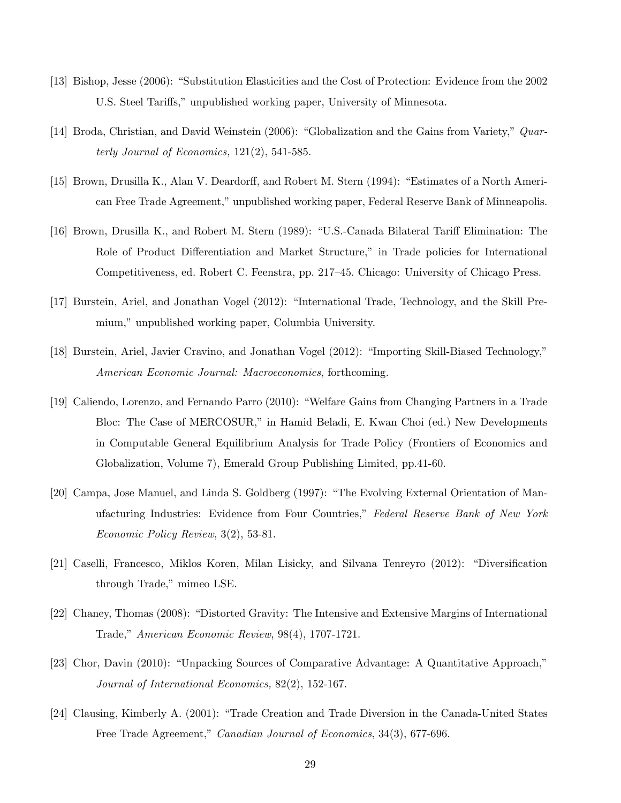- [13] Bishop, Jesse (2006): "Substitution Elasticities and the Cost of Protection: Evidence from the 2002 U.S. Steel Tariffs," unpublished working paper, University of Minnesota.
- [14] Broda, Christian, and David Weinstein  $(2006)$ : "Globalization and the Gains from Variety," Quarterly Journal of Economics, 121(2), 541-585.
- [15] Brown, Drusilla K., Alan V. Deardorff, and Robert M. Stern (1994): "Estimates of a North American Free Trade Agreement," unpublished working paper, Federal Reserve Bank of Minneapolis.
- [16] Brown, Drusilla K., and Robert M. Stern (1989): "U.S.-Canada Bilateral Tariff Elimination: The Role of Product Differentiation and Market Structure," in Trade policies for International Competitiveness, ed. Robert C. Feenstra, pp. 217–45. Chicago: University of Chicago Press.
- [17] Burstein, Ariel, and Jonathan Vogel (2012): "International Trade, Technology, and the Skill Premium," unpublished working paper, Columbia University.
- [18] Burstein, Ariel, Javier Cravino, and Jonathan Vogel (2012): "Importing Skill-Biased Technology," American Economic Journal: Macroeconomics, forthcoming.
- [19] Caliendo, Lorenzo, and Fernando Parro (2010): "Welfare Gains from Changing Partners in a Trade Bloc: The Case of MERCOSUR," in Hamid Beladi, E. Kwan Choi (ed.) New Developments in Computable General Equilibrium Analysis for Trade Policy (Frontiers of Economics and Globalization, Volume 7), Emerald Group Publishing Limited, pp.41-60.
- [20] Campa, Jose Manuel, and Linda S. Goldberg (1997): "The Evolving External Orientation of Manufacturing Industries: Evidence from Four Countries," Federal Reserve Bank of New York Economic Policy Review, 3(2), 53-81.
- [21] Caselli, Francesco, Miklos Koren, Milan Lisicky, and Silvana Tenreyro (2012): "Diversification through Trade," mimeo LSE.
- [22] Chaney, Thomas (2008): "Distorted Gravity: The Intensive and Extensive Margins of International Trade," American Economic Review,  $98(4)$ , 1707-1721.
- [23] Chor, Davin (2010): "Unpacking Sources of Comparative Advantage: A Quantitative Approach," Journal of International Economics, 82(2), 152-167.
- [24] Clausing, Kimberly A. (2001): "Trade Creation and Trade Diversion in the Canada-United States Free Trade Agreement," Canadian Journal of Economics, 34(3), 677-696.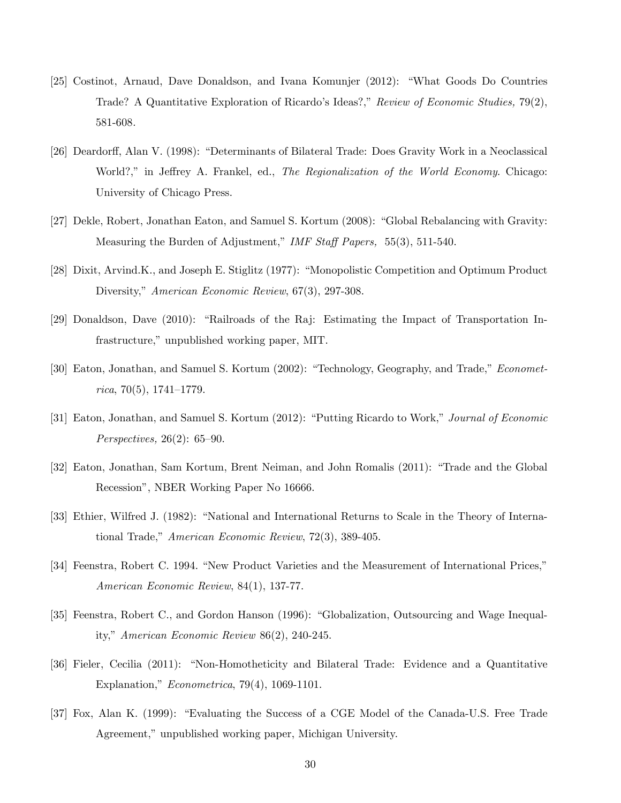- [25] Costinot, Arnaud, Dave Donaldson, and Ivana Komunjer (2012): "What Goods Do Countries Trade? A Quantitative Exploration of Ricardo's Ideas?," Review of Economic Studies,  $79(2)$ , 581-608.
- [26] Deardorff, Alan V. (1998): "Determinants of Bilateral Trade: Does Gravity Work in a Neoclassical World?," in Jeffrey A. Frankel, ed., The Regionalization of the World Economy. Chicago: University of Chicago Press.
- [27] Dekle, Robert, Jonathan Eaton, and Samuel S. Kortum (2008): "Global Rebalancing with Gravity: Measuring the Burden of Adjustment," IMF Staff Papers,  $55(3)$ , 511-540.
- [28] Dixit, Arvind.K., and Joseph E. Stiglitz (1977): "Monopolistic Competition and Optimum Product Diversity," American Economic Review, 67(3), 297-308.
- [29] Donaldson, Dave (2010): "Railroads of the Raj: Estimating the Impact of Transportation Infrastructure," unpublished working paper, MIT.
- [30] Eaton, Jonathan, and Samuel S. Kortum (2002): "Technology, Geography, and Trade," Economet $rica, 70(5), 1741–1779.$
- [31] Eaton, Jonathan, and Samuel S. Kortum (2012): "Putting Ricardo to Work," Journal of Economic *Perspectives*,  $26(2): 65-90.$
- [32] Eaton, Jonathan, Sam Kortum, Brent Neiman, and John Romalis (2011): "Trade and the Global Recession", NBER Working Paper No 16666.
- [33] Ethier, Wilfred J. (1982): "National and International Returns to Scale in the Theory of International Trade," American Economic Review,  $72(3)$ , 389-405.
- [34] Feenstra, Robert C. 1994. "New Product Varieties and the Measurement of International Prices," American Economic Review, 84(1), 137-77.
- [35] Feenstra, Robert C., and Gordon Hanson (1996): "Globalization, Outsourcing and Wage Inequality," American Economic Review 86(2), 240-245.
- [36] Fieler, Cecilia (2011): "Non-Homotheticity and Bilateral Trade: Evidence and a Quantitative Explanation,"  $Econometrica$ , 79(4), 1069-1101.
- [37] Fox, Alan K. (1999): "Evaluating the Success of a CGE Model of the Canada-U.S. Free Trade Agreement," unpublished working paper, Michigan University.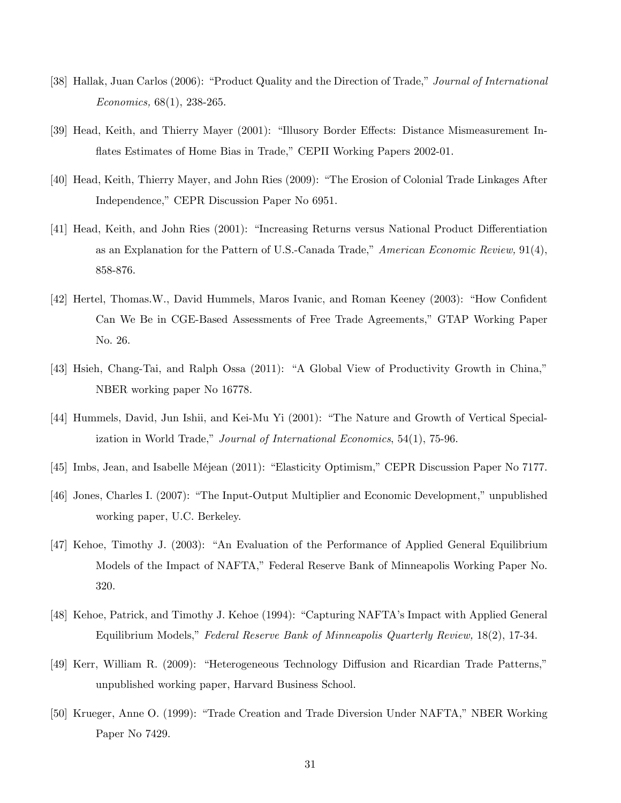- [38] Hallak, Juan Carlos (2006): "Product Quality and the Direction of Trade," Journal of International Economics, 68(1), 238-265.
- [39] Head, Keith, and Thierry Mayer (2001): "Illusory Border Effects: Distance Mismeasurement Inflates Estimates of Home Bias in Trade," CEPII Working Papers 2002-01.
- [40] Head, Keith, Thierry Mayer, and John Ries (2009): "The Erosion of Colonial Trade Linkages After Independence," CEPR Discussion Paper No 6951.
- [41] Head, Keith, and John Ries (2001): "Increasing Returns versus National Product Differentiation as an Explanation for the Pattern of U.S.-Canada Trade," American Economic Review,  $91(4)$ , 858-876.
- [42] Hertel, Thomas.W., David Hummels, Maros Ivanic, and Roman Keeney (2003): "How Confident Can We Be in CGE-Based Assessments of Free Trade Agreements," GTAP Working Paper No. 26.
- [43] Hsieh, Chang-Tai, and Ralph Ossa (2011): "A Global View of Productivity Growth in China," NBER working paper No 16778.
- [44] Hummels, David, Jun Ishii, and Kei-Mu Yi (2001): "The Nature and Growth of Vertical Specialization in World Trade," Journal of International Economics,  $54(1)$ , 75-96.
- [45] Imbs, Jean, and Isabelle Méjean (2011): "Elasticity Optimism," CEPR Discussion Paper No 7177.
- [46] Jones, Charles I. (2007): "The Input-Output Multiplier and Economic Development," unpublished working paper, U.C. Berkeley.
- [47] Kehoe, Timothy J. (2003): "An Evaluation of the Performance of Applied General Equilibrium Models of the Impact of NAFTA," Federal Reserve Bank of Minneapolis Working Paper No. 320.
- [48] Kehoe, Patrick, and Timothy J. Kehoe (1994): "Capturing NAFTA's Impact with Applied General Equilibrium Models," Federal Reserve Bank of Minneapolis Quarterly Review, 18(2), 17-34.
- [49] Kerr, William R. (2009): "Heterogeneous Technology Diffusion and Ricardian Trade Patterns," unpublished working paper, Harvard Business School.
- [50] Krueger, Anne O. (1999): "Trade Creation and Trade Diversion Under NAFTA," NBER Working Paper No 7429.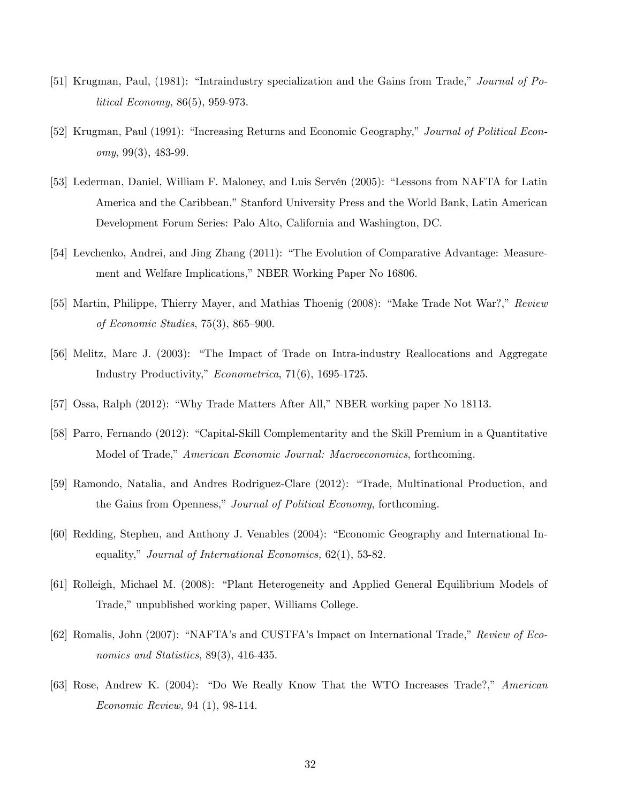- [51] Krugman, Paul, (1981): "Intraindustry specialization and the Gains from Trade," Journal of Political Economy, 86(5), 959-973.
- [52] Krugman, Paul (1991): "Increasing Returns and Economic Geography," Journal of Political Econ $omy, 99(3), 483-99.$
- [53] Lederman, Daniel, William F. Maloney, and Luis Servén (2005): "Lessons from NAFTA for Latin America and the Caribbean," Stanford University Press and the World Bank, Latin American Development Forum Series: Palo Alto, California and Washington, DC.
- [54] Levchenko, Andrei, and Jing Zhang (2011): "The Evolution of Comparative Advantage: Measurement and Welfare Implications," NBER Working Paper No 16806.
- [55] Martin, Philippe, Thierry Mayer, and Mathias Thoenig (2008): "Make Trade Not War?," Review of Economic Studies,  $75(3)$ ,  $865-900$ .
- [56] Melitz, Marc J. (2003): "The Impact of Trade on Intra-industry Reallocations and Aggregate Industry Productivity,"  $Econometrica$ , 71(6), 1695-1725.
- [57] Ossa, Ralph (2012): "Why Trade Matters After All," NBER working paper No 18113.
- [58] Parro, Fernando (2012): "Capital-Skill Complementarity and the Skill Premium in a Quantitative Model of Trade," American Economic Journal: Macroeconomics, forthcoming.
- [59] Ramondo, Natalia, and Andres Rodriguez-Clare (2012): "Trade, Multinational Production, and the Gains from Openness," Journal of Political Economy, forthcoming.
- [60] Redding, Stephen, and Anthony J. Venables (2004): "Economic Geography and International Inequality," Journal of International Economics,  $62(1)$ , 53-82.
- [61] Rolleigh, Michael M. (2008): "Plant Heterogeneity and Applied General Equilibrium Models of Trade," unpublished working paper, Williams College.
- [62] Romalis, John (2007): "NAFTA's and CUSTFA's Impact on International Trade," Review of Economics and Statistics, 89(3), 416-435.
- [63] Rose, Andrew K. (2004): "Do We Really Know That the WTO Increases Trade?," American Economic Review, 94 (1), 98-114.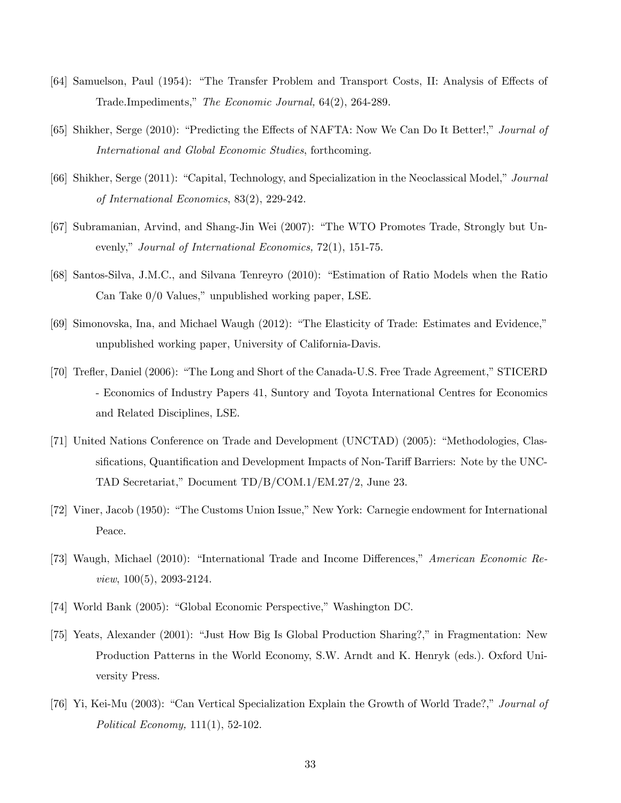- [64] Samuelson, Paul (1954): "The Transfer Problem and Transport Costs, II: Analysis of Effects of Trade.Impediments," The Economic Journal, 64(2), 264-289.
- [65] Shikher, Serge (2010): "Predicting the Effects of NAFTA: Now We Can Do It Better!," Journal of International and Global Economic Studies, forthcoming.
- [66] Shikher, Serge (2011): "Capital, Technology, and Specialization in the Neoclassical Model," Journal of International Economics, 83(2), 229-242.
- [67] Subramanian, Arvind, and Shang-Jin Wei (2007): "The WTO Promotes Trade, Strongly but Unevenly," Journal of International Economics,  $72(1)$ , 151-75.
- [68] Santos-Silva, J.M.C., and Silvana Tenreyro (2010): "Estimation of Ratio Models when the Ratio Can Take  $0/0$  Values," unpublished working paper, LSE.
- [69] Simonovska, Ina, and Michael Waugh (2012): "The Elasticity of Trade: Estimates and Evidence," unpublished working paper, University of California-Davis.
- [70] Trefler, Daniel (2006): "The Long and Short of the Canada-U.S. Free Trade Agreement," STICERD - Economics of Industry Papers 41, Suntory and Toyota International Centres for Economics and Related Disciplines, LSE.
- [71] United Nations Conference on Trade and Development (UNCTAD) (2005): "Methodologies, Classifications, Quantification and Development Impacts of Non-Tariff Barriers: Note by the UNC-TAD Secretariat," Document TD/B/COM.1/EM.27/2, June 23.
- [72] Viner, Jacob (1950): "The Customs Union Issue," New York: Carnegie endowment for International Peace.
- [73] Waugh, Michael (2010): "International Trade and Income Differences," American Economic Review, 100(5), 2093-2124.
- [74] World Bank (2005): "Global Economic Perspective," Washington DC.
- [75] Yeats, Alexander (2001): "Just How Big Is Global Production Sharing?," in Fragmentation: New Production Patterns in the World Economy, S.W. Arndt and K. Henryk (eds.). Oxford University Press.
- [76] Yi, Kei-Mu (2003): "Can Vertical Specialization Explain the Growth of World Trade?," Journal of Political Economy, 111(1), 52-102.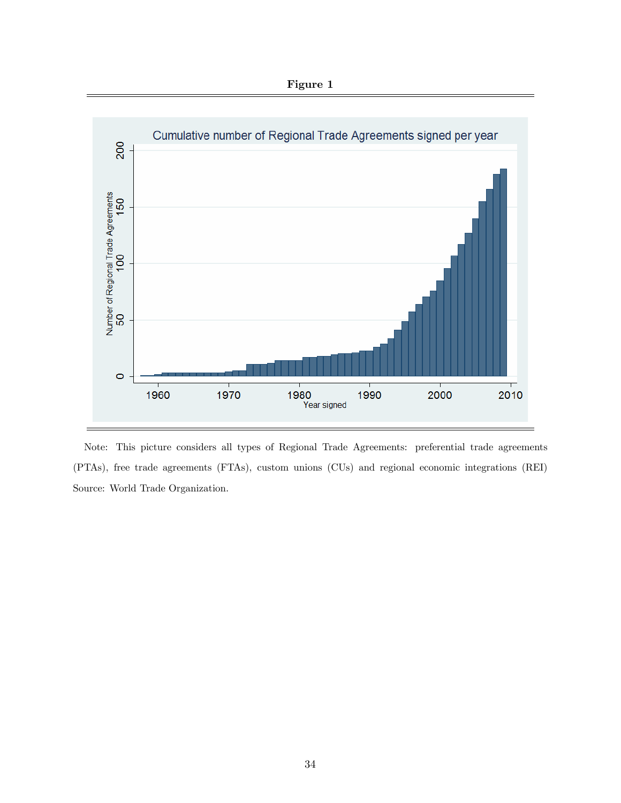Figure 1



Note: This picture considers all types of Regional Trade Agreements: preferential trade agreements (PTAs), free trade agreements (FTAs), custom unions (CUs) and regional economic integrations (REI) Source: World Trade Organization.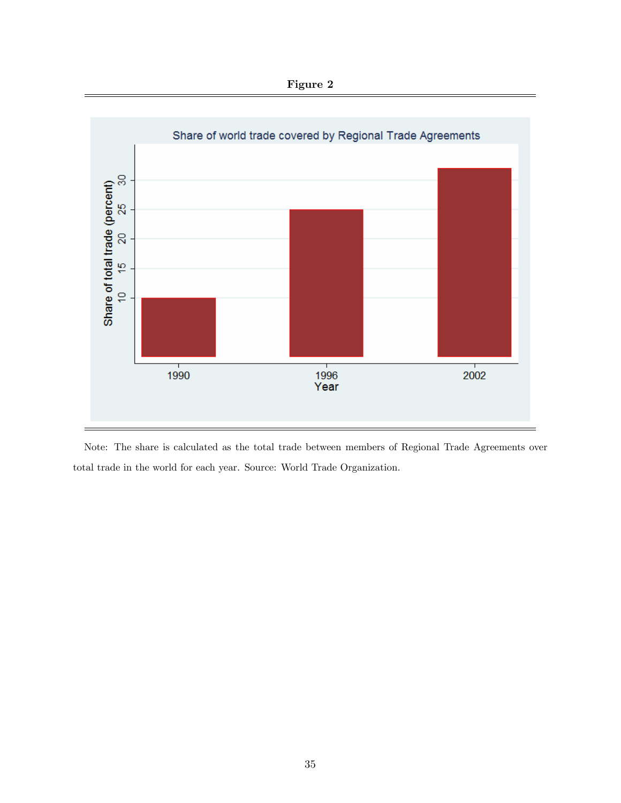Figure 2



Note: The share is calculated as the total trade between members of Regional Trade Agreements over total trade in the world for each year. Source: World Trade Organization.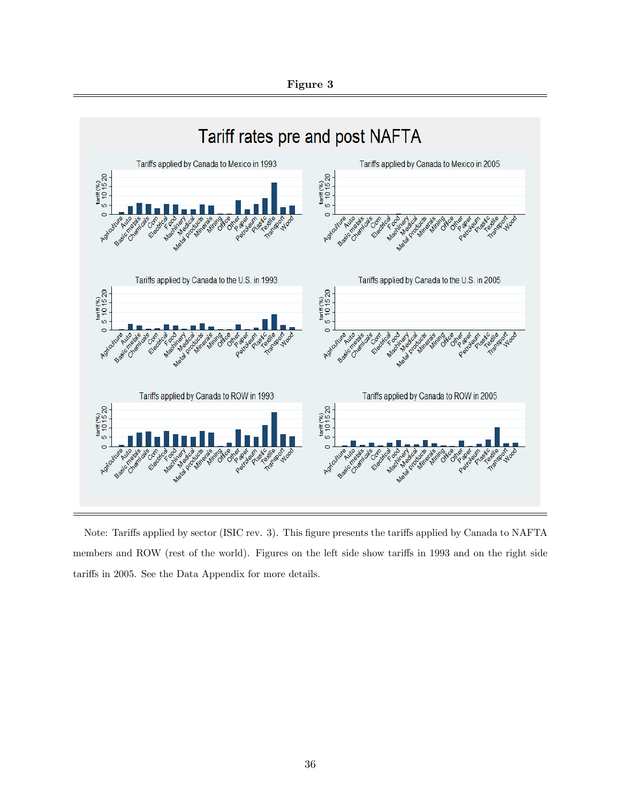



Note: Tariffs applied by sector (ISIC rev. 3). This figure presents the tariffs applied by Canada to NAFTA members and ROW (rest of the world). Figures on the left side show tariffs in 1993 and on the right side tariffs in 2005. See the Data Appendix for more details.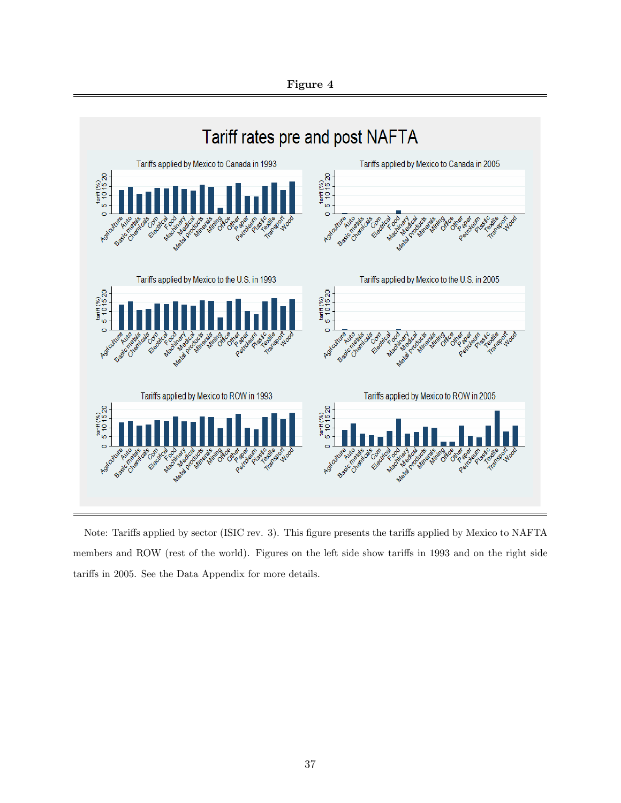



Note: Tariffs applied by sector (ISIC rev. 3). This figure presents the tariffs applied by Mexico to NAFTA members and ROW (rest of the world). Figures on the left side show tariffs in 1993 and on the right side tariffs in 2005. See the Data Appendix for more details.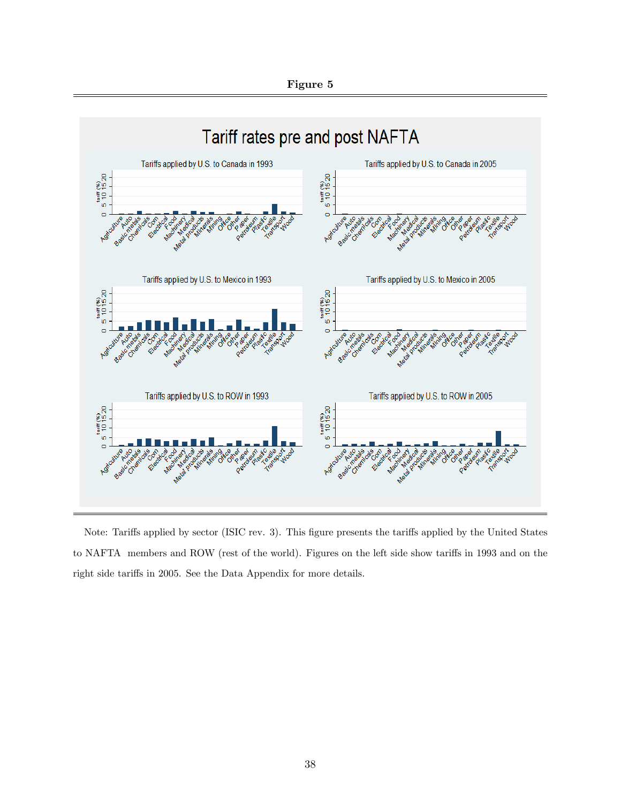



Note: Tariffs applied by sector (ISIC rev. 3). This figure presents the tariffs applied by the United States to NAFTA members and ROW (rest of the world). Figures on the left side show tariffs in 1993 and on the right side tariffs in 2005. See the Data Appendix for more details.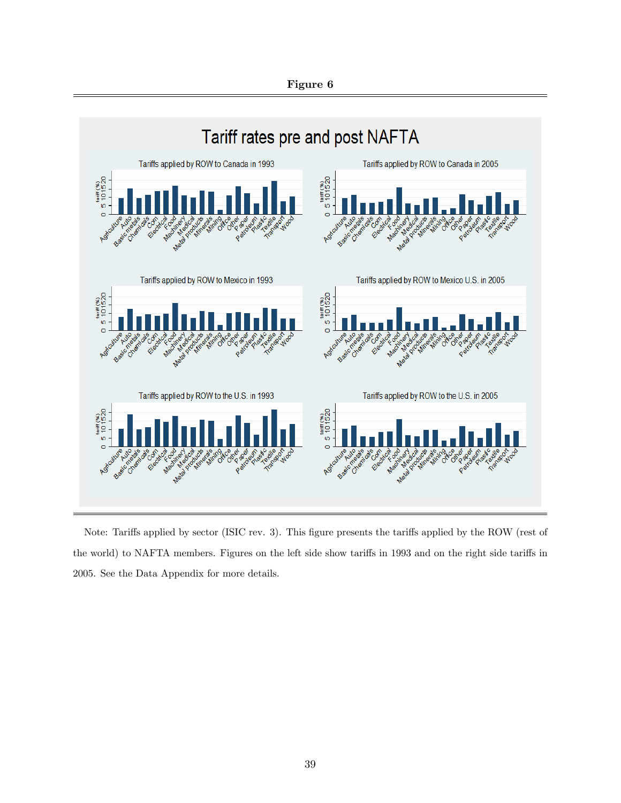



Note: Tariffs applied by sector (ISIC rev. 3). This figure presents the tariffs applied by the ROW (rest of the world) to NAFTA members. Figures on the left side show tariffs in 1993 and on the right side tariffs in 2005. See the Data Appendix for more details.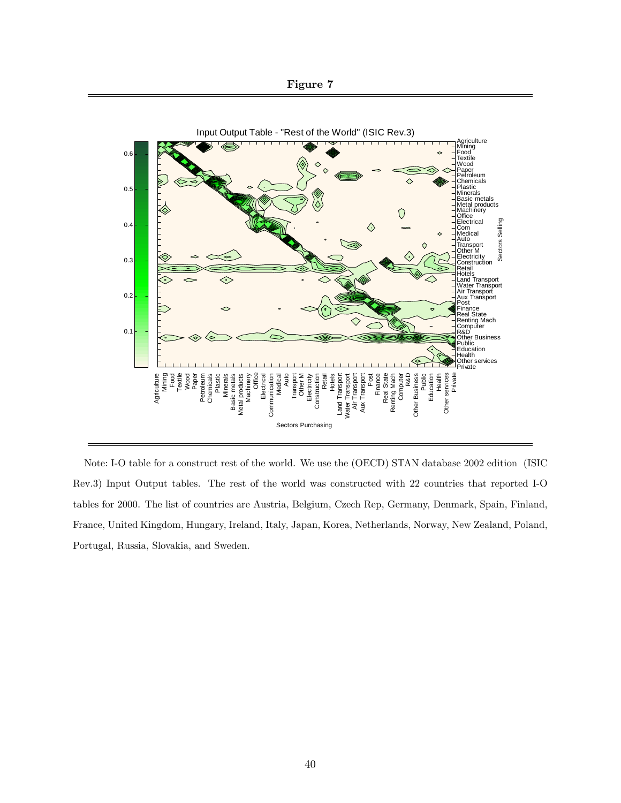



Note: I-O table for a construct rest of the world. We use the (OECD) STAN database 2002 edition (ISIC Rev.3) Input Output tables. The rest of the world was constructed with 22 countries that reported I-O tables for 2000. The list of countries are Austria, Belgium, Czech Rep, Germany, Denmark, Spain, Finland, France, United Kingdom, Hungary, Ireland, Italy, Japan, Korea, Netherlands, Norway, New Zealand, Poland, Portugal, Russia, Slovakia, and Sweden.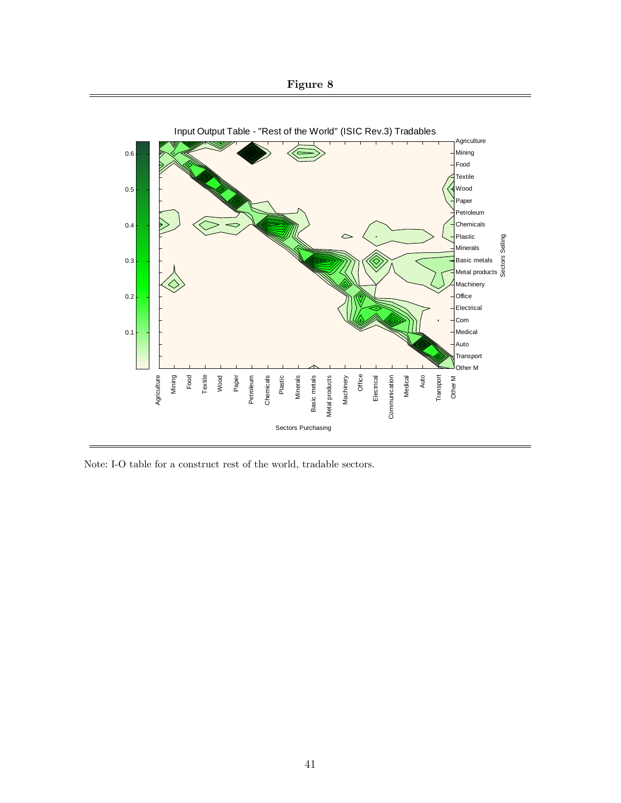



Note: I-O table for a construct rest of the world, tradable sectors.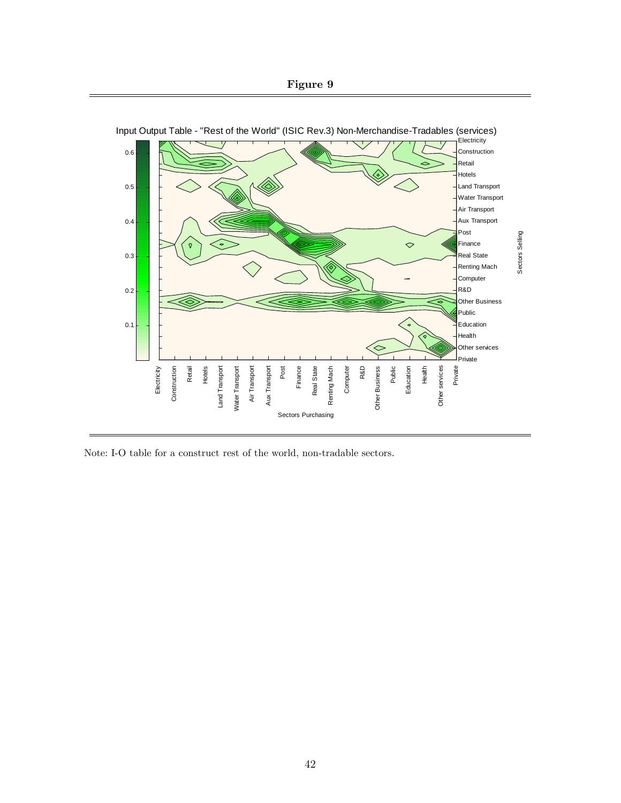



Input Output Table - "Rest of the World" (ISIC Rev.3) Non-Merchandise-Tradables (services)

Note: I-O table for a construct rest of the world, non-tradable sectors.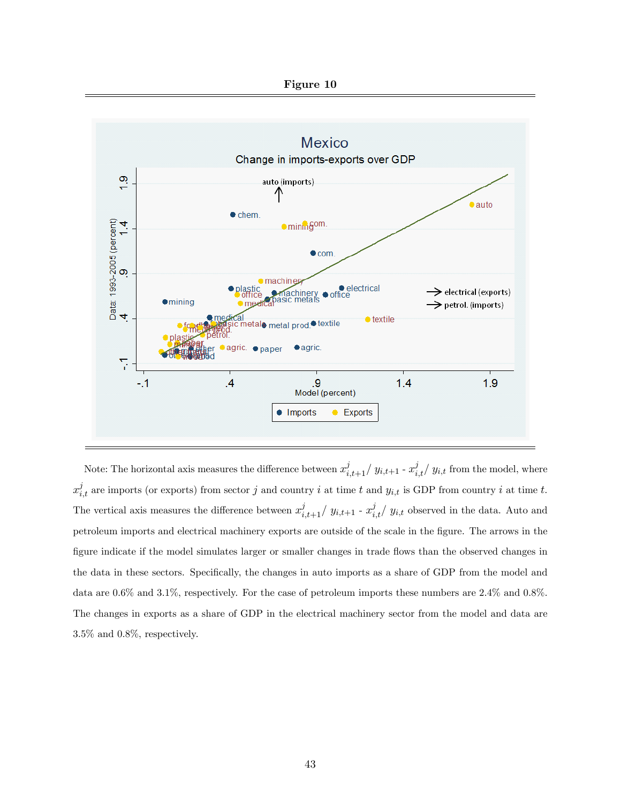Figure 10



Note: The horizontal axis measures the difference between  $x_{i,t+1}^j / y_{i,t+1}$  -  $x_{i,t}^j / y_{i,t}$  from the model, where  $x_{i,t}^j$  are imports (or exports) from sector j and country i at time t and  $y_{i,t}$  is GDP from country i at time t. The vertical axis measures the difference between  $x_{i,t+1}^j / y_{i,t+1} - x_{i,t}^j / y_{i,t}$  observed in the data. Auto and petroleum imports and electrical machinery exports are outside of the scale in the figure. The arrows in the figure indicate if the model simulates larger or smaller changes in trade flows than the observed changes in the data in these sectors. Specifically, the changes in auto imports as a share of GDP from the model and data are 0.6% and 3.1%, respectively. For the case of petroleum imports these numbers are 2.4% and 0.8%. The changes in exports as a share of GDP in the electrical machinery sector from the model and data are 3.5% and 0.8%, respectively.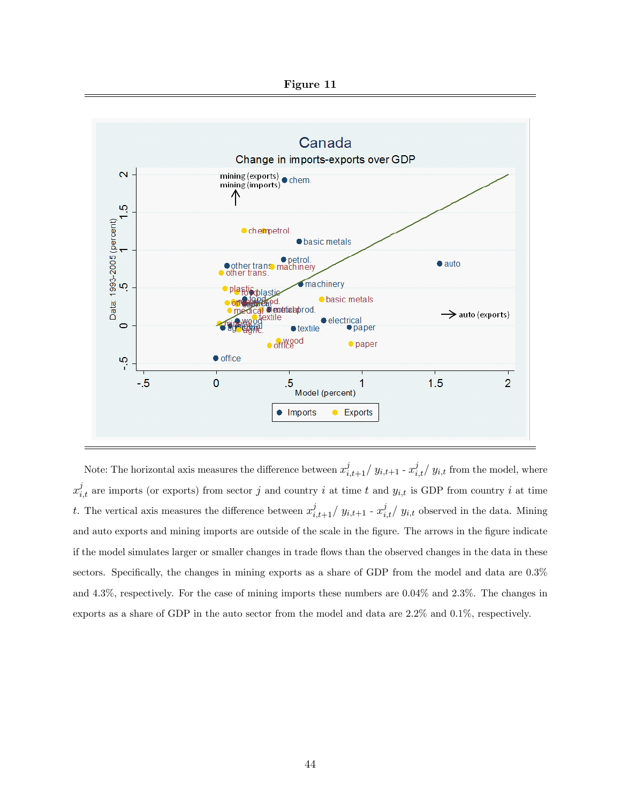Figure 11



Note: The horizontal axis measures the difference between  $x_{i,t+1}^j / y_{i,t+1}$  -  $x_{i,t}^j / y_{i,t}$  from the model, where  $x_{i,t}^j$  are imports (or exports) from sector j and country i at time t and  $y_{i,t}$  is GDP from country i at time t. The vertical axis measures the difference between  $x_{i,t+1}^j / y_{i,t+1} - x_{i,t}^j / y_{i,t}$  observed in the data. Mining and auto exports and mining imports are outside of the scale in the figure. The arrows in the figure indicate if the model simulates larger or smaller changes in trade flows than the observed changes in the data in these sectors. Specifically, the changes in mining exports as a share of GDP from the model and data are  $0.3\%$ and 4.3%, respectively. For the case of mining imports these numbers are 0.04% and 2.3%. The changes in exports as a share of GDP in the auto sector from the model and data are 2.2% and 0.1%, respectively.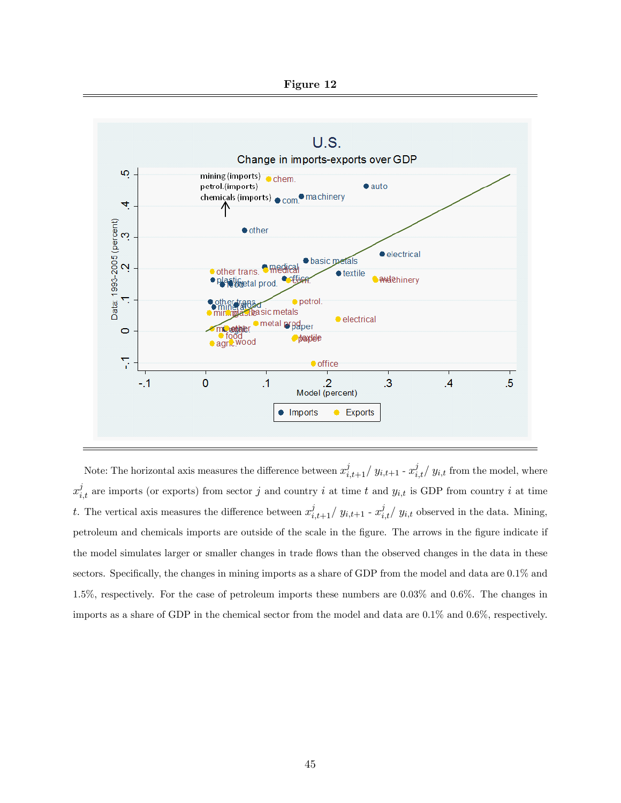Figure 12



Note: The horizontal axis measures the difference between  $x_{i,t+1}^j / y_{i,t+1}$  -  $x_{i,t}^j / y_{i,t}$  from the model, where  $x_{i,t}^j$  are imports (or exports) from sector j and country i at time t and  $y_{i,t}$  is GDP from country i at time t. The vertical axis measures the difference between  $x_{i,t+1}^j / y_{i,t+1} - x_{i,t}^j / y_{i,t}$  observed in the data. Mining, petroleum and chemicals imports are outside of the scale in the figure. The arrows in the figure indicate if the model simulates larger or smaller changes in trade flows than the observed changes in the data in these sectors. Specifically, the changes in mining imports as a share of GDP from the model and data are 0.1% and 1.5%, respectively. For the case of petroleum imports these numbers are 0.03% and 0.6%. The changes in imports as a share of GDP in the chemical sector from the model and data are 0.1% and 0.6%, respectively.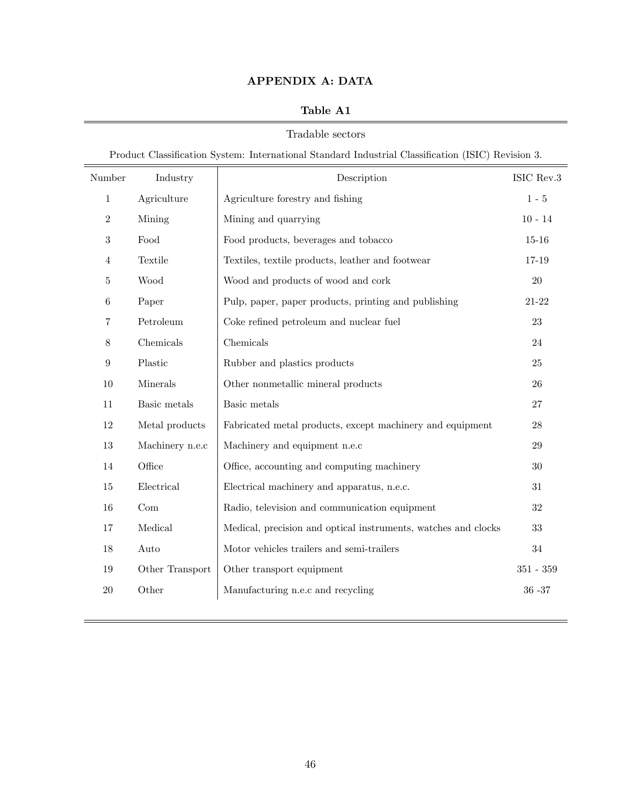# APPENDIX A: DATA

## Table A1

# Tradable sectors

Product Classification System: International Standard Industrial Classification (ISIC) Revision 3.

| Number           | Industry              | Description                                                    | ISIC Rev.3  |
|------------------|-----------------------|----------------------------------------------------------------|-------------|
| $\mathbf{1}$     | Agriculture           | Agriculture forestry and fishing                               | $1 - 5$     |
| $\boldsymbol{2}$ | Mining                | Mining and quarrying                                           | $10 - 14$   |
| $\sqrt{3}$       | $\operatorname{Food}$ | Food products, beverages and tobacco                           | $15 - 16$   |
| 4                | Textile               | Textiles, textile products, leather and footwear               | 17-19       |
| 5                | Wood                  | Wood and products of wood and cork                             | 20          |
| 6                | Paper                 | Pulp, paper, paper products, printing and publishing           | $21 - 22$   |
| 7                | Petroleum             | Coke refined petroleum and nuclear fuel                        | 23          |
| 8                | Chemicals             | Chemicals                                                      | 24          |
| 9                | Plastic               | Rubber and plastics products                                   | 25          |
| 10               | Minerals              | Other nonmetallic mineral products                             | 26          |
| 11               | Basic metals          | Basic metals                                                   | 27          |
| 12               | Metal products        | Fabricated metal products, except machinery and equipment      | 28          |
| 13               | Machinery n.e.c       | Machinery and equipment n.e.c                                  | 29          |
| 14               | Office                | Office, accounting and computing machinery                     | 30          |
| 15               | Electrical            | Electrical machinery and apparatus, n.e.c.                     | 31          |
| 16               | Com                   | Radio, television and communication equipment                  | 32          |
| 17               | Medical               | Medical, precision and optical instruments, watches and clocks | 33          |
| 18               | Auto                  | Motor vehicles trailers and semi-trailers                      | 34          |
| 19               | Other Transport       | Other transport equipment                                      | $351 - 359$ |
| 20               | Other                 | Manufacturing n.e.c and recycling                              | $36 - 37$   |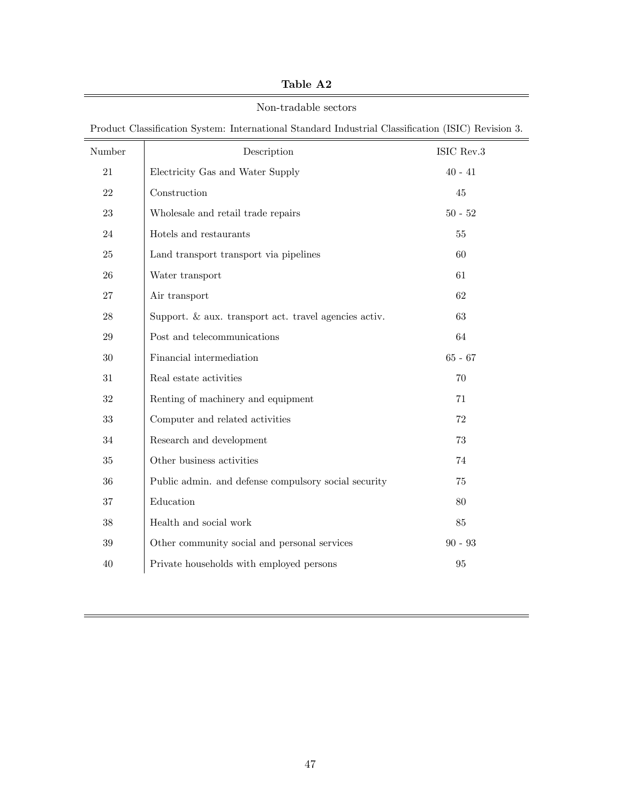| 'able |  |
|-------|--|
|-------|--|

# Non-tradable sectors

Product Classification System: International Standard Industrial Classification (ISIC) Revision 3.

| Number | Description                                           | ISIC Rev.3 |
|--------|-------------------------------------------------------|------------|
| 21     | Electricity Gas and Water Supply                      | $40 - 41$  |
| 22     | Construction                                          | 45         |
| 23     | Wholesale and retail trade repairs                    | $50 - 52$  |
| 24     | Hotels and restaurants                                | 55         |
| 25     | Land transport transport via pipelines                | 60         |
| 26     | Water transport                                       | 61         |
| 27     | Air transport                                         | 62         |
| 28     | Support. & aux. transport act. travel agencies activ. | 63         |
| 29     | Post and telecommunications                           | 64         |
| $30\,$ | Financial intermediation                              | $65 - 67$  |
| 31     | Real estate activities                                | 70         |
| 32     | Renting of machinery and equipment                    | 71         |
| 33     | Computer and related activities                       | 72         |
| 34     | Research and development                              | 73         |
| 35     | Other business activities                             | 74         |
| 36     | Public admin. and defense compulsory social security  | 75         |
| 37     | Education                                             | 80         |
| $38\,$ | Health and social work                                | 85         |
| 39     | Other community social and personal services          | $90 - 93$  |
| 40     | Private households with employed persons              | 95         |
|        |                                                       |            |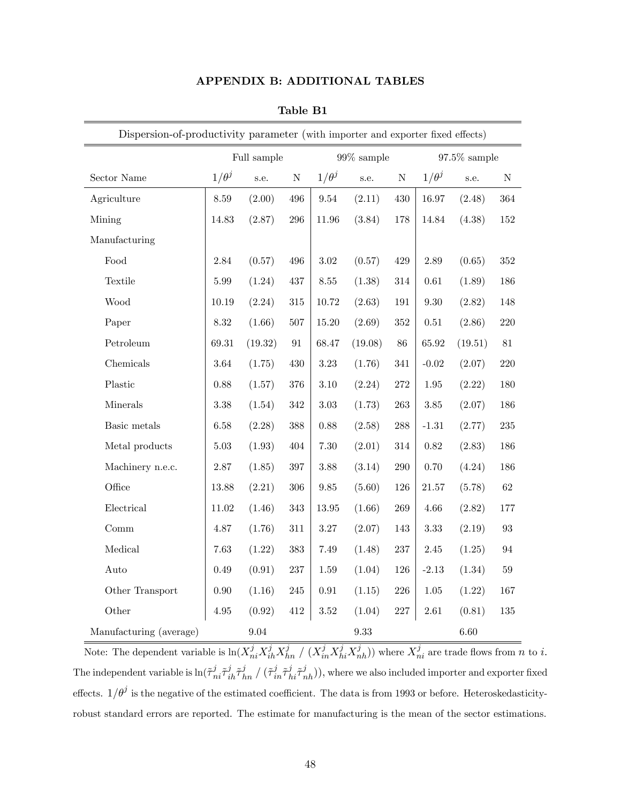| Dispersion-of-productivity parameter (with importer and exporter fixed effects) |              |         |           |              |             |           |              |         |             |  |
|---------------------------------------------------------------------------------|--------------|---------|-----------|--------------|-------------|-----------|--------------|---------|-------------|--|
| Full sample<br>$99\%$ sample<br>$97.5\%$ sample                                 |              |         |           |              |             |           |              |         |             |  |
| Sector Name                                                                     | $1/\theta^j$ | s.e.    | ${\bf N}$ | $1/\theta^j$ | s.e.        | ${\bf N}$ | $1/\theta^j$ | s.e.    | $\mathbf N$ |  |
| Agriculture                                                                     | $8.59\,$     | (2.00)  | 496       | $\ \, 9.54$  | (2.11)      | 430       | $16.97\,$    | (2.48)  | 364         |  |
| Mining                                                                          | 14.83        | (2.87)  | $\,296$   | $11.96\,$    | (3.84)      | 178       | 14.84        | (4.38)  | $152\,$     |  |
| Manufacturing                                                                   |              |         |           |              |             |           |              |         |             |  |
| Food                                                                            | 2.84         | (0.57)  | 496       | $3.02\,$     | (0.57)      | 429       | 2.89         | (0.65)  | 352         |  |
| Textile                                                                         | 5.99         | (1.24)  | 437       | 8.55         | (1.38)      | $314\,$   | $\,0.61\,$   | (1.89)  | 186         |  |
| <b>Wood</b>                                                                     | 10.19        | (2.24)  | $315\,$   | 10.72        | (2.63)      | $191\,$   | $9.30\,$     | (2.82)  | 148         |  |
| Paper                                                                           | 8.32         | (1.66)  | 507       | $15.20\,$    | (2.69)      | $352\,$   | $0.51\,$     | (2.86)  | 220         |  |
| Petroleum                                                                       | $69.31\,$    | (19.32) | $\rm 91$  | 68.47        | (19.08)     | $86\,$    | 65.92        | (19.51) | $81\,$      |  |
| Chemicals                                                                       | 3.64         | (1.75)  | $430\,$   | $3.23\,$     | (1.76)      | 341       | $-0.02$      | (2.07)  | 220         |  |
| Plastic                                                                         | 0.88         | (1.57)  | 376       | $3.10\,$     | (2.24)      | 272       | $1.95\,$     | (2.22)  | 180         |  |
| Minerals                                                                        | $3.38\,$     | (1.54)  | $342\,$   | $3.03\,$     | (1.73)      | $263\,$   | $3.85\,$     | (2.07)  | 186         |  |
| Basic metals                                                                    | 6.58         | (2.28)  | $388\,$   | 0.88         | (2.58)      | 288       | $-1.31$      | (2.77)  | 235         |  |
| Metal products                                                                  | $5.03\,$     | (1.93)  | 404       | 7.30         | (2.01)      | 314       | 0.82         | (2.83)  | 186         |  |
| Machinery n.e.c.                                                                | $2.87\,$     | (1.85)  | $397\,$   | $3.88\,$     | (3.14)      | $290\,$   | $0.70\,$     | (4.24)  | 186         |  |
| Office                                                                          | 13.88        | (2.21)  | $306\,$   | 9.85         | (5.60)      | 126       | 21.57        | (5.78)  | $62\,$      |  |
| ${\bf Electrical}$                                                              | $11.02\,$    | (1.46)  | 343       | $13.95\,$    | (1.66)      | 269       | $4.66\,$     | (2.82)  | 177         |  |
| Comm                                                                            | $4.87\,$     | (1.76)  | $311\,$   | $3.27\,$     | (2.07)      | 143       | $3.33\,$     | (2.19)  | 93          |  |
| Medical                                                                         | 7.63         | (1.22)  | $383\,$   | 7.49         | (1.48)      | 237       | $2.45\,$     | (1.25)  | $94\,$      |  |
| Auto                                                                            | 0.49         | (0.91)  | $237\,$   | 1.59         | (1.04)      | 126       | $-2.13$      | (1.34)  | $59\,$      |  |
| Other Transport                                                                 | $0.90\,$     | (1.16)  | $245\,$   | 0.91         | (1.15)      | $226\,$   | $1.05\,$     | (1.22)  | 167         |  |
| Other                                                                           | $4.95\,$     | (0.92)  | 412       | $3.52\,$     | (1.04)      | 227       | $2.61\,$     | (0.81)  | $135\,$     |  |
| Manufacturing (average)                                                         |              | 9.04    |           |              | $\ \, 9.33$ |           |              | 6.60    |             |  |

## APPENDIX B: ADDITIONAL TABLES

Table B1

Note: The dependent variable is  $\ln(X_{ni}^j X_{ih}^j X_{hn}^j / (X_{in}^j X_{hi}^j X_{nh}^j))$  where  $X_{ni}^j$  are trade flows from n to i. The independent variable is  $\ln(\tilde{\tau}_{ni}^j \tilde{\tau}_{ih}^j \tilde{\tau}_{hn}^j / (\tilde{\tau}_{in}^j \tilde{\tau}_{hi}^j \tilde{\tau}_{nh}^j)),$  where we also included importer and exporter fixed effects.  $1/\theta^j$  is the negative of the estimated coefficient. The data is from 1993 or before. Heteroskedasticityrobust standard errors are reported. The estimate for manufacturing is the mean of the sector estimations.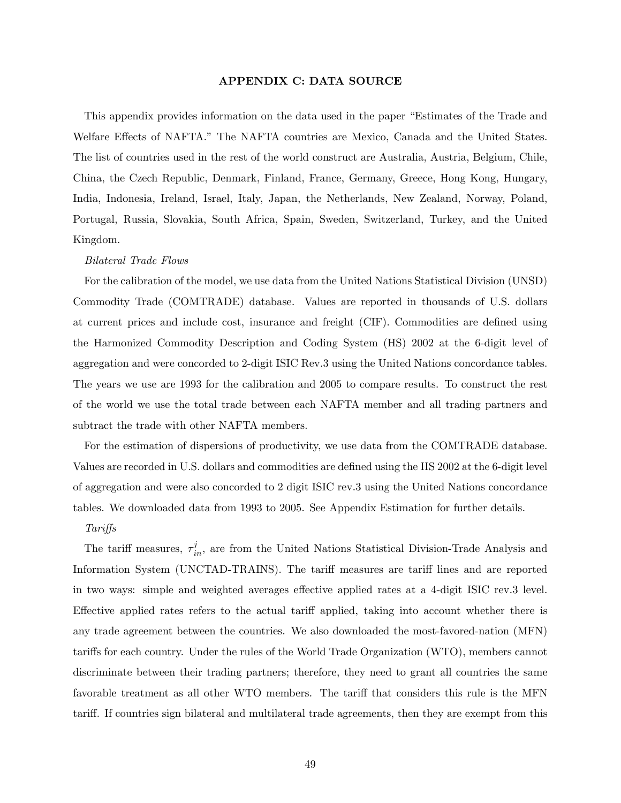#### APPENDIX C: DATA SOURCE

This appendix provides information on the data used in the paper "Estimates of the Trade and Welfare Effects of NAFTA." The NAFTA countries are Mexico, Canada and the United States. The list of countries used in the rest of the world construct are Australia, Austria, Belgium, Chile, China, the Czech Republic, Denmark, Finland, France, Germany, Greece, Hong Kong, Hungary, India, Indonesia, Ireland, Israel, Italy, Japan, the Netherlands, New Zealand, Norway, Poland, Portugal, Russia, Slovakia, South Africa, Spain, Sweden, Switzerland, Turkey, and the United Kingdom.

#### Bilateral Trade Flows

For the calibration of the model, we use data from the United Nations Statistical Division (UNSD) Commodity Trade (COMTRADE) database. Values are reported in thousands of U.S. dollars at current prices and include cost, insurance and freight (CIF). Commodities are defined using the Harmonized Commodity Description and Coding System (HS) 2002 at the 6-digit level of aggregation and were concorded to 2-digit ISIC Rev.3 using the United Nations concordance tables. The years we use are 1993 for the calibration and 2005 to compare results. To construct the rest of the world we use the total trade between each NAFTA member and all trading partners and subtract the trade with other NAFTA members.

For the estimation of dispersions of productivity, we use data from the COMTRADE database. Values are recorded in U.S. dollars and commodities are defined using the HS 2002 at the 6-digit level of aggregation and were also concorded to 2 digit ISIC rev.3 using the United Nations concordance tables. We downloaded data from 1993 to 2005. See Appendix Estimation for further details.

#### Tariffs

The tariff measures,  $\tau_{in}^j$ , are from the United Nations Statistical Division-Trade Analysis and Information System (UNCTAD-TRAINS). The tariff measures are tariff lines and are reported in two ways: simple and weighted averages effective applied rates at a 4-digit ISIC rev.3 level. Effective applied rates refers to the actual tariff applied, taking into account whether there is any trade agreement between the countries. We also downloaded the most-favored-nation (MFN) tariffs for each country. Under the rules of the World Trade Organization (WTO), members cannot discriminate between their trading partners; therefore, they need to grant all countries the same favorable treatment as all other WTO members. The tariff that considers this rule is the MFN tariff. If countries sign bilateral and multilateral trade agreements, then they are exempt from this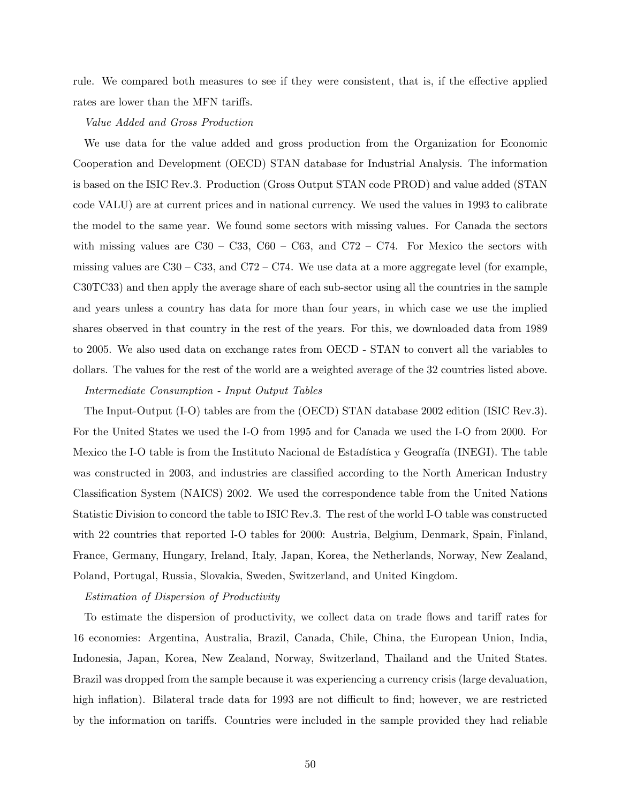rule. We compared both measures to see if they were consistent, that is, if the effective applied rates are lower than the MFN tariffs.

#### Value Added and Gross Production

We use data for the value added and gross production from the Organization for Economic Cooperation and Development (OECD) STAN database for Industrial Analysis. The information is based on the ISIC Rev.3. Production (Gross Output STAN code PROD) and value added (STAN code VALU) are at current prices and in national currency. We used the values in 1993 to calibrate the model to the same year. We found some sectors with missing values. For Canada the sectors with missing values are  $C30 - C33$ ,  $C60 - C63$ , and  $C72 - C74$ . For Mexico the sectors with missing values are  $C30 - C33$ , and  $C72 - C74$ . We use data at a more aggregate level (for example, C30TC33) and then apply the average share of each sub-sector using all the countries in the sample and years unless a country has data for more than four years, in which case we use the implied shares observed in that country in the rest of the years. For this, we downloaded data from 1989 to 2005. We also used data on exchange rates from OECD - STAN to convert all the variables to dollars. The values for the rest of the world are a weighted average of the 32 countries listed above. Intermediate Consumption - Input Output Tables

The Input-Output (I-O) tables are from the (OECD) STAN database 2002 edition (ISIC Rev.3). For the United States we used the I-O from 1995 and for Canada we used the I-O from 2000. For Mexico the I-O table is from the Instituto Nacional de Estadística y Geografía (INEGI). The table was constructed in 2003, and industries are classified according to the North American Industry Classification System (NAICS) 2002. We used the correspondence table from the United Nations Statistic Division to concord the table to ISIC Rev.3. The rest of the world I-O table was constructed with 22 countries that reported I-O tables for 2000: Austria, Belgium, Denmark, Spain, Finland, France, Germany, Hungary, Ireland, Italy, Japan, Korea, the Netherlands, Norway, New Zealand, Poland, Portugal, Russia, Slovakia, Sweden, Switzerland, and United Kingdom.

#### Estimation of Dispersion of Productivity

To estimate the dispersion of productivity, we collect data on trade flows and tariff rates for 16 economies: Argentina, Australia, Brazil, Canada, Chile, China, the European Union, India, Indonesia, Japan, Korea, New Zealand, Norway, Switzerland, Thailand and the United States. Brazil was dropped from the sample because it was experiencing a currency crisis (large devaluation, high inflation). Bilateral trade data for 1993 are not difficult to find; however, we are restricted by the information on tariffs. Countries were included in the sample provided they had reliable